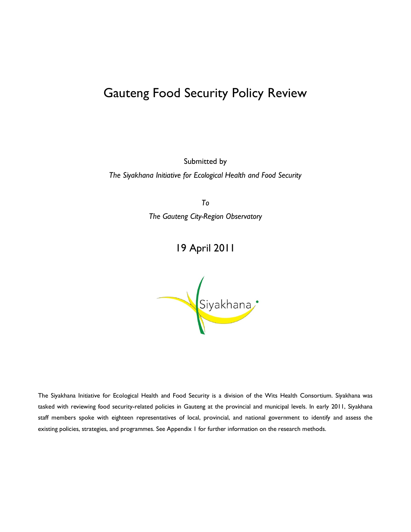# Gauteng Food Security Policy Review

Submitted by

*The Siyakhana Initiative for Ecological Health and Food Security*

*To*

*The Gauteng City-Region Observatory*

## 19 April 2011



The Siyakhana Initiative for Ecological Health and Food Security is a division of the Wits Health Consortium. Siyakhana was tasked with reviewing food security-related policies in Gauteng at the provincial and municipal levels. In early 2011, Siyakhana staff members spoke with eighteen representatives of local, provincial, and national government to identify and assess the existing policies, strategies, and programmes. See Appendix 1 for further information on the research methods.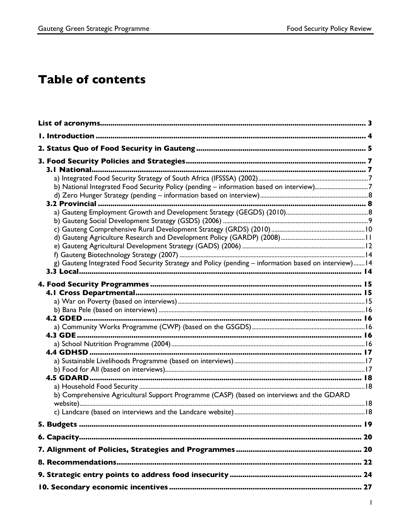# **Table of contents**

| b) National Integrated Food Security Policy (pending - information based on interview)7               |  |
|-------------------------------------------------------------------------------------------------------|--|
| g) Gauteng Integrated Food Security Strategy and Policy (pending - information based on interview) 14 |  |
|                                                                                                       |  |
| b) Comprehensive Agricultural Support Programme (CASP) (based on interviews and the GDARD             |  |
|                                                                                                       |  |
|                                                                                                       |  |
|                                                                                                       |  |
|                                                                                                       |  |
|                                                                                                       |  |
|                                                                                                       |  |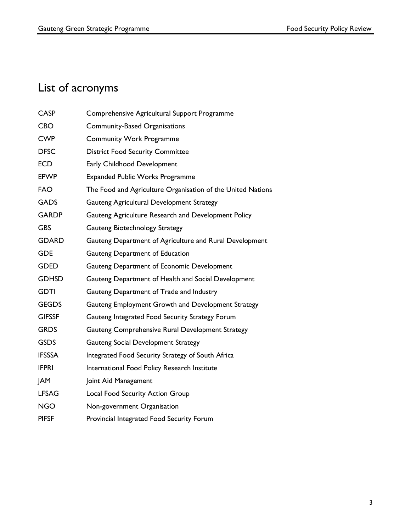# List of acronyms

| <b>CASP</b>   | Comprehensive Agricultural Support Programme                |
|---------------|-------------------------------------------------------------|
| <b>CBO</b>    | <b>Community-Based Organisations</b>                        |
| <b>CWP</b>    | <b>Community Work Programme</b>                             |
| <b>DFSC</b>   | <b>District Food Security Committee</b>                     |
| <b>ECD</b>    | Early Childhood Development                                 |
| <b>EPWP</b>   | <b>Expanded Public Works Programme</b>                      |
| <b>FAO</b>    | The Food and Agriculture Organisation of the United Nations |
| <b>GADS</b>   | Gauteng Agricultural Development Strategy                   |
| <b>GARDP</b>  | Gauteng Agriculture Research and Development Policy         |
| <b>GBS</b>    | Gauteng Biotechnology Strategy                              |
| <b>GDARD</b>  | Gauteng Department of Agriculture and Rural Development     |
| <b>GDE</b>    | Gauteng Department of Education                             |
| <b>GDED</b>   | Gauteng Department of Economic Development                  |
| <b>GDHSD</b>  | Gauteng Department of Health and Social Development         |
| <b>GDTI</b>   | Gauteng Department of Trade and Industry                    |
| <b>GEGDS</b>  | Gauteng Employment Growth and Development Strategy          |
| <b>GIFSSF</b> | Gauteng Integrated Food Security Strategy Forum             |
| <b>GRDS</b>   | Gauteng Comprehensive Rural Development Strategy            |
| <b>GSDS</b>   | Gauteng Social Development Strategy                         |
| <b>IFSSSA</b> | Integrated Food Security Strategy of South Africa           |
| <b>IFPRI</b>  | International Food Policy Research Institute                |
| <b>JAM</b>    | Joint Aid Management                                        |
| <b>LFSAG</b>  | Local Food Security Action Group                            |
| <b>NGO</b>    | Non-government Organisation                                 |
| <b>PIFSF</b>  | Provincial Integrated Food Security Forum                   |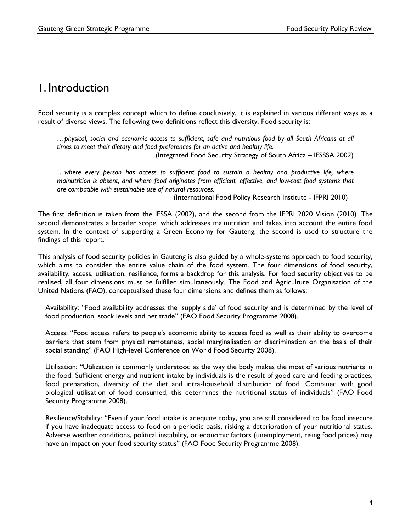### 1. Introduction

Food security is a complex concept which to define conclusively, it is explained in various different ways as a result of diverse views. The following two definitions reflect this diversity. Food security is:

*…physical, social and economic access to sufficient, safe and nutritious food by all South Africans at all times to meet their dietary and food preferences for an active and healthy life.*  (Integrated Food Security Strategy of South Africa – IFSSSA 2002)

*…where every person has access to sufficient food to sustain a healthy and productive life, where malnutrition is absent, and where food originates from efficient, effective, and low-cost food systems that are compatible with sustainable use of natural resources.* 

(International Food Policy Research Institute - IFPRI 2010)

The first definition is taken from the IFSSA (2002), and the second from the IFPRI 2020 Vision (2010). The second demonstrates a broader scope, which addresses malnutrition and takes into account the entire food system. In the context of supporting a Green Economy for Gauteng, the second is used to structure the findings of this report.

This analysis of food security policies in Gauteng is also guided by a whole-systems approach to food security, which aims to consider the entire value chain of the food system. The four dimensions of food security, availability, access, utilisation, resilience, forms a backdrop for this analysis. For food security objectives to be realised, all four dimensions must be fulfilled simultaneously. The Food and Agriculture Organisation of the United Nations (FAO), conceptualised these four dimensions and defines them as follows:

Availability: "Food availability addresses the 'supply side' of food security and is determined by the level of food production, stock levels and net trade" (FAO Food Security Programme 2008).

Access: "Food access refers to people's economic ability to access food as well as their ability to overcome barriers that stem from physical remoteness, social marginalisation or discrimination on the basis of their social standing" (FAO High-level Conference on World Food Security 2008).

Utilisation: "Utilization is commonly understood as the way the body makes the most of various nutrients in the food. Sufficient energy and nutrient intake by individuals is the result of good care and feeding practices, food preparation, diversity of the diet and intra-household distribution of food. Combined with good biological utilisation of food consumed, this determines the nutritional status of individuals" (FAO Food Security Programme 2008).

Resilience/Stability: "Even if your food intake is adequate today, you are still considered to be food insecure if you have inadequate access to food on a periodic basis, risking a deterioration of your nutritional status. Adverse weather conditions, political instability, or economic factors (unemployment, rising food prices) may have an impact on your food security status" (FAO Food Security Programme 2008).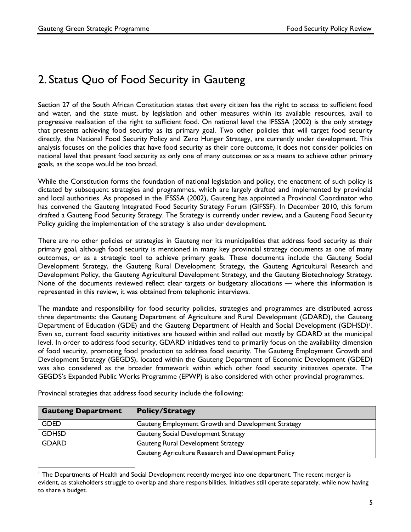# 2. Status Quo of Food Security in Gauteng

Section 27 of the South African Constitution states that every citizen has the right to access to sufficient food and water, and the state must, by legislation and other measures within its available resources, avail to progressive realisation of the right to sufficient food. On national level the IFSSSA (2002) is the only strategy that presents achieving food security as its primary goal. Two other policies that will target food security directly, the National Food Security Policy and Zero Hunger Strategy, are currently under development. This analysis focuses on the policies that have food security as their core outcome, it does not consider policies on national level that present food security as only one of many outcomes or as a means to achieve other primary goals, as the scope would be too broad.

While the Constitution forms the foundation of national legislation and policy, the enactment of such policy is dictated by subsequent strategies and programmes, which are largely drafted and implemented by provincial and local authorities. As proposed in the IFSSSA (2002), Gauteng has appointed a Provincial Coordinator who has convened the Gauteng Integrated Food Security Strategy Forum (GIFSSF). In December 2010, this forum drafted a Gauteng Food Security Strategy. The Strategy is currently under review, and a Gauteng Food Security Policy guiding the implementation of the strategy is also under development.

There are no other policies or strategies in Gauteng nor its municipalities that address food security as their primary goal, although food security is mentioned in many key provincial strategy documents as one of many outcomes, or as a strategic tool to achieve primary goals. These documents include the Gauteng Social Development Strategy, the Gauteng Rural Development Strategy, the Gauteng Agricultural Research and Development Policy, the Gauteng Agricultural Development Strategy, and the Gauteng Biotechnology Strategy. None of the documents reviewed reflect clear targets or budgetary allocations — where this information is represented in this review, it was obtained from telephonic interviews.

The mandate and responsibility for food security policies, strategies and programmes are distributed across three departments: the Gauteng Department of Agriculture and Rural Development (GDARD), the Gauteng Department of Education (GDE) and the Gauteng Department of Health and Social Development (GDHSD)<sup>1</sup>. Even so, current food security initiatives are housed within and rolled out mostly by GDARD at the municipal level. In order to address food security, GDARD initiatives tend to primarily focus on the availability dimension of food security, promoting food production to address food security. The Gauteng Employment Growth and Development Strategy (GEGDS), located within the Gauteng Department of Economic Development (GDED) was also considered as the broader framework within which other food security initiatives operate. The GEGDS's Expanded Public Works Programme (EPWP) is also considered with other provincial programmes.

| <b>Gauteng Department</b> | <b>Policy/Strategy</b>                              |  |
|---------------------------|-----------------------------------------------------|--|
| <b>GDED</b>               | Gauteng Employment Growth and Development Strategy  |  |
| <b>GDHSD</b>              | <b>Gauteng Social Development Strategy</b>          |  |
| <b>GDARD</b>              | Gauteng Rural Development Strategy                  |  |
|                           | Gauteng Agriculture Research and Development Policy |  |

Provincial strategies that address food security include the following:

 

<sup>1</sup> The Departments of Health and Social Development recently merged into one department. The recent merger is evident, as stakeholders struggle to overlap and share responsibilities. Initiatives still operate separately, while now having to share a budget.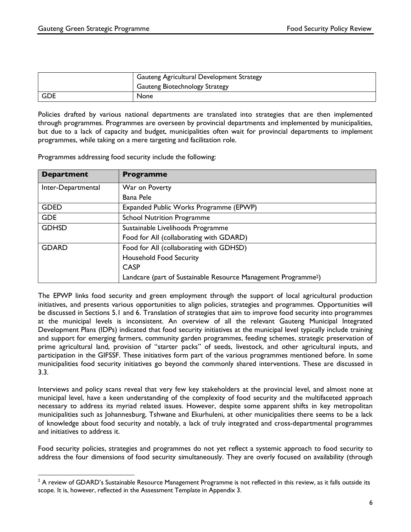|       | <b>Gauteng Agricultural Development Strategy</b> |
|-------|--------------------------------------------------|
|       | <b>Gauteng Biotechnology Strategy</b>            |
| l GDE | <b>None</b>                                      |

Policies drafted by various national departments are translated into strategies that are then implemented through programmes. Programmes are overseen by provincial departments and implemented by municipalities, but due to a lack of capacity and budget, municipalities often wait for provincial departments to implement programmes, while taking on a mere targeting and facilitation role.

Programmes addressing food security include the following:

| <b>Department</b>  | <b>Programme</b>                                                           |
|--------------------|----------------------------------------------------------------------------|
| Inter-Departmental | War on Poverty                                                             |
|                    | Bana Pele                                                                  |
| <b>GDED</b>        | Expanded Public Works Programme (EPWP)                                     |
| <b>GDE</b>         | <b>School Nutrition Programme</b>                                          |
| <b>GDHSD</b>       | Sustainable Livelihoods Programme                                          |
|                    | Food for All (collaborating with GDARD)                                    |
| <b>GDARD</b>       | Food for All (collaborating with GDHSD)                                    |
|                    | <b>Household Food Security</b>                                             |
|                    | <b>CASP</b>                                                                |
|                    | Landcare (part of Sustainable Resource Management Programme <sup>2</sup> ) |

The EPWP links food security and green employment through the support of local agricultural production initiatives, and presents various opportunities to align policies, strategies and programmes. Opportunities will be discussed in Sections 5.1 and 6. Translation of strategies that aim to improve food security into programmes at the municipal levels is inconsistent. An overview of all the relevant Gauteng Municipal Integrated Development Plans (IDPs) indicated that food security initiatives at the municipal level typically include training and support for emerging farmers, community garden programmes, feeding schemes, strategic preservation of prime agricultural land, provision of "starter packs" of seeds, livestock, and other agricultural inputs, and participation in the GIFSSF. These initiatives form part of the various programmes mentioned before. In some municipalities food security initiatives go beyond the commonly shared interventions. These are discussed in 3.3.

Interviews and policy scans reveal that very few key stakeholders at the provincial level, and almost none at municipal level, have a keen understanding of the complexity of food security and the multifaceted approach necessary to address its myriad related issues. However, despite some apparent shifts in key metropolitan municipalities such as Johannesburg, Tshwane and Ekurhuleni, at other municipalities there seems to be a lack of knowledge about food security and notably, a lack of truly integrated and cross-departmental programmes and initiatives to address it.

Food security policies, strategies and programmes do not yet reflect a systemic approach to food security to address the four dimensions of food security simultaneously. They are overly focused on availability (through

 $2$  A review of GDARD's Sustainable Resource Management Programme is not reflected in this review, as it falls outside its scope. It is, however, reflected in the Assessment Template in Appendix 3.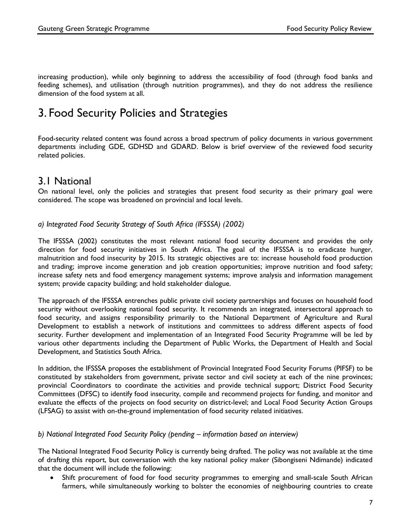increasing production), while only beginning to address the accessibility of food (through food banks and feeding schemes), and utilisation (through nutrition programmes), and they do not address the resilience dimension of the food system at all.

# 3. Food Security Policies and Strategies

Food-security related content was found across a broad spectrum of policy documents in various government departments including GDE, GDHSD and GDARD. Below is brief overview of the reviewed food security related policies.

### 3.1 National

On national level, only the policies and strategies that present food security as their primary goal were considered. The scope was broadened on provincial and local levels.

#### *a) Integrated Food Security Strategy of South Africa (IFSSSA) (2002)*

The IFSSSA (2002) constitutes the most relevant national food security document and provides the only direction for food security initiatives in South Africa. The goal of the IFSSSA is to eradicate hunger, malnutrition and food insecurity by 2015. Its strategic objectives are to: increase household food production and trading; improve income generation and job creation opportunities; improve nutrition and food safety; increase safety nets and food emergency management systems; improve analysis and information management system; provide capacity building; and hold stakeholder dialogue.

The approach of the IFSSSA entrenches public private civil society partnerships and focuses on household food security without overlooking national food security. It recommends an integrated, intersectoral approach to food security, and assigns responsibility primarily to the National Department of Agriculture and Rural Development to establish a network of institutions and committees to address different aspects of food security. Further development and implementation of an Integrated Food Security Programme will be led by various other departments including the Department of Public Works, the Department of Health and Social Development, and Statistics South Africa.

In addition, the IFSSSA proposes the establishment of Provincial Integrated Food Security Forums (PIFSF) to be constituted by stakeholders from government, private sector and civil society at each of the nine provinces; provincial Coordinators to coordinate the activities and provide technical support; District Food Security Committees (DFSC) to identify food insecurity, compile and recommend projects for funding, and monitor and evaluate the effects of the projects on food security on district-level; and Local Food Security Action Groups (LFSAG) to assist with on-the-ground implementation of food security related initiatives.

#### *b) National Integrated Food Security Policy (pending – information based on interview)*

The National Integrated Food Security Policy is currently being drafted. The policy was not available at the time of drafting this report, but conversation with the key national policy maker (Sibongiseni Ndimande) indicated that the document will include the following:

• Shift procurement of food for food security programmes to emerging and small-scale South African farmers, while simultaneously working to bolster the economies of neighbouring countries to create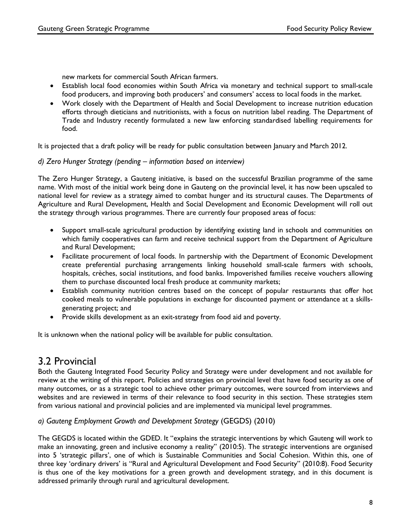new markets for commercial South African farmers.

- Establish local food economies within South Africa via monetary and technical support to small-scale food producers, and improving both producers' and consumers' access to local foods in the market.
- Work closely with the Department of Health and Social Development to increase nutrition education efforts through dieticians and nutritionists, with a focus on nutrition label reading. The Department of Trade and Industry recently formulated a new law enforcing standardised labelling requirements for food.

It is projected that a draft policy will be ready for public consultation between January and March 2012.

### *d) Zero Hunger Strategy (pending – information based on interview)*

The Zero Hunger Strategy, a Gauteng initiative, is based on the successful Brazilian programme of the same name. With most of the initial work being done in Gauteng on the provincial level, it has now been upscaled to national level for review as a strategy aimed to combat hunger and its structural causes. The Departments of Agriculture and Rural Development, Health and Social Development and Economic Development will roll out the strategy through various programmes. There are currently four proposed areas of focus:

- Support small-scale agricultural production by identifying existing land in schools and communities on which family cooperatives can farm and receive technical support from the Department of Agriculture and Rural Development;
- Facilitate procurement of local foods. In partnership with the Department of Economic Development create preferential purchasing arrangements linking household small-scale farmers with schools, hospitals, crèches, social institutions, and food banks. Impoverished families receive vouchers allowing them to purchase discounted local fresh produce at community markets;
- Establish community nutrition centres based on the concept of popular restaurants that offer hot cooked meals to vulnerable populations in exchange for discounted payment or attendance at a skillsgenerating project; and
- Provide skills development as an exit-strategy from food aid and poverty.

It is unknown when the national policy will be available for public consultation.

### 3.2 Provincial

Both the Gauteng Integrated Food Security Policy and Strategy were under development and not available for review at the writing of this report. Policies and strategies on provincial level that have food security as one of many outcomes, or as a strategic tool to achieve other primary outcomes, were sourced from interviews and websites and are reviewed in terms of their relevance to food security in this section. These strategies stem from various national and provincial policies and are implemented via municipal level programmes.

### *a) Gauteng Employment Growth and Development Strategy* (GEGDS) (2010)

The GEGDS is located within the GDED. It "explains the strategic interventions by which Gauteng will work to make an innovating, green and inclusive economy a reality" (2010:5). The strategic interventions are organised into 5 'strategic pillars', one of which is Sustainable Communities and Social Cohesion. Within this, one of three key 'ordinary drivers' is "Rural and Agricultural Development and Food Security" (2010:8). Food Security is thus one of the key motivations for a green growth and development strategy, and in this document is addressed primarily through rural and agricultural development.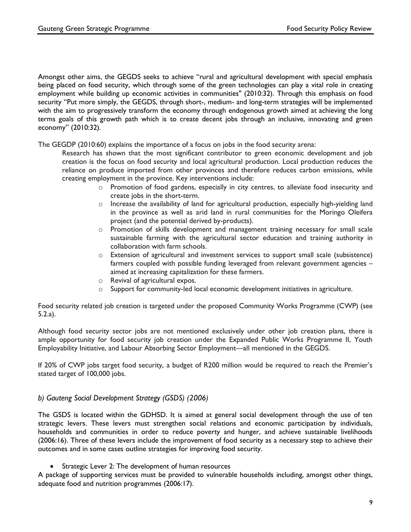Amongst other aims, the GEGDS seeks to achieve "rural and agricultural development with special emphasis being placed on food security, which through some of the green technologies can play a vital role in creating employment while building up economic activities in communities" (2010:32). Through this emphasis on food security "Put more simply, the GEGDS, through short-, medium- and long-term strategies will be implemented with the aim to progressively transform the economy through endogenous growth aimed at achieving the long terms goals of this growth path which is to create decent jobs through an inclusive, innovating and green economy" (2010:32).

The GEGDP (2010:60) explains the importance of a focus on jobs in the food security arena:

Research has shown that the most significant contributor to green economic development and job creation is the focus on food security and local agricultural production. Local production reduces the reliance on produce imported from other provinces and therefore reduces carbon emissions, while creating employment in the province. Key interventions include:

- o Promotion of food gardens, especially in city centres, to alleviate food insecurity and create jobs in the short-term.
- $\circ$  Increase the availability of land for agricultural production, especially high-yielding land in the province as well as arid land in rural communities for the Moringo Oleifera project (and the potential derived by-products).
- o Promotion of skills development and management training necessary for small scale sustainable farming with the agricultural sector education and training authority in collaboration with farm schools.
- o Extension of agricultural and investment services to support small scale (subsistence) farmers coupled with possible funding leveraged from relevant government agencies – aimed at increasing capitalization for these farmers.
- o Revival of agricultural expos.
- $\circ$  Support for community-led local economic development initiatives in agriculture.

Food security related job creation is targeted under the proposed Community Works Programme (CWP) (see 5.2.a).

Although food security sector jobs are not mentioned exclusively under other job creation plans, there is ample opportunity for food security job creation under the Expanded Public Works Programme II, Youth Employability Initiative, and Labour Absorbing Sector Employment—all mentioned in the GEGDS.

If 20% of CWP jobs target food security, a budget of R200 million would be required to reach the Premier's stated target of 100,000 jobs.

#### *b) Gauteng Social Development Strategy (GSDS) (2006)*

The GSDS is located within the GDHSD. It is aimed at general social development through the use of ten strategic levers. These levers must strengthen social relations and economic participation by individuals, households and communities in order to reduce poverty and hunger, and achieve sustainable livelihoods (2006:16). Three of these levers include the improvement of food security as a necessary step to achieve their outcomes and in some cases outline strategies for improving food security.

Strategic Lever 2: The development of human resources

A package of supporting services must be provided to vulnerable households including, amongst other things, adequate food and nutrition programmes (2006:17).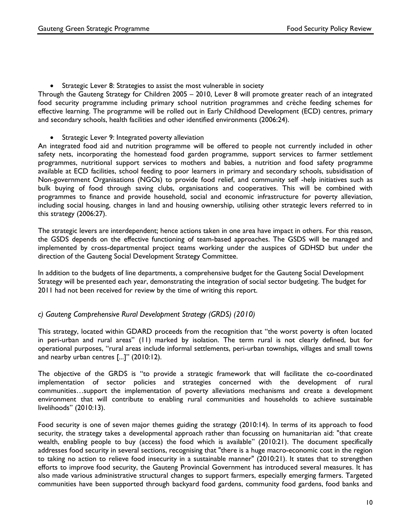• Strategic Lever 8: Strategies to assist the most vulnerable in society

Through the Gauteng Strategy for Children 2005 – 2010, Lever 8 will promote greater reach of an integrated food security programme including primary school nutrition programmes and crèche feeding schemes for effective learning. The programme will be rolled out in Early Childhood Development (ECD) centres, primary and secondary schools, health facilities and other identified environments (2006:24).

• Strategic Lever 9: Integrated poverty alleviation

An integrated food aid and nutrition programme will be offered to people not currently included in other safety nets, incorporating the homestead food garden programme, support services to farmer settlement programmes, nutritional support services to mothers and babies, a nutrition and food safety programme available at ECD facilities, school feeding to poor learners in primary and secondary schools, subsidisation of Non-government Organisations (NGOs) to provide food relief, and community self -help initiatives such as bulk buying of food through saving clubs, organisations and cooperatives. This will be combined with programmes to finance and provide household, social and economic infrastructure for poverty alleviation, including social housing, changes in land and housing ownership, utilising other strategic levers referred to in this strategy (2006:27).

The strategic levers are interdependent; hence actions taken in one area have impact in others. For this reason, the GSDS depends on the effective functioning of team-based approaches. The GSDS will be managed and implemented by cross-departmental project teams working under the auspices of GDHSD but under the direction of the Gauteng Social Development Strategy Committee.

In addition to the budgets of line departments, a comprehensive budget for the Gauteng Social Development Strategy will be presented each year, demonstrating the integration of social sector budgeting. The budget for 2011 had not been received for review by the time of writing this report.

#### *c) Gauteng Comprehensive Rural Development Strategy (GRDS) (2010)*

This strategy, located within GDARD proceeds from the recognition that "the worst poverty is often located in peri-urban and rural areas" (11) marked by isolation. The term rural is not clearly defined, but for operational purposes, "rural areas include informal settlements, peri-urban townships, villages and small towns and nearby urban centres [...]" (2010:12).

The objective of the GRDS is "to provide a strategic framework that will facilitate the co-coordinated implementation of sector policies and strategies concerned with the development of rural communities…support the implementation of poverty alleviations mechanisms and create a development environment that will contribute to enabling rural communities and households to achieve sustainable livelihoods" (2010:13).

Food security is one of seven major themes guiding the strategy (2010:14). In terms of its approach to food security, the strategy takes a developmental approach rather than focussing on humanitarian aid: "that create wealth, enabling people to buy (access) the food which is available" (2010:21). The document specifically addresses food security in several sections, recognising that "there is a huge macro-economic cost in the region to taking no action to relieve food insecurity in a sustainable manner" (2010:21). It states that to strengthen efforts to improve food security, the Gauteng Provincial Government has introduced several measures. It has also made various administrative structural changes to support farmers, especially emerging farmers. Targeted communities have been supported through backyard food gardens, community food gardens, food banks and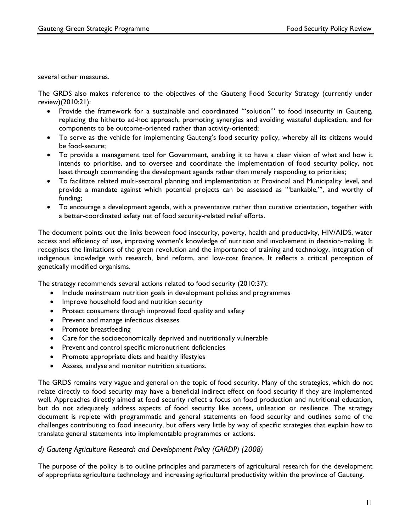several other measures.

The GRDS also makes reference to the objectives of the Gauteng Food Security Strategy (currently under review)(2010:21):

- Provide the framework for a sustainable and coordinated "'solution"' to food insecurity in Gauteng, replacing the hitherto ad-hoc approach, promoting synergies and avoiding wasteful duplication, and for components to be outcome-oriented rather than activity-oriented;
- To serve as the vehicle for implementing Gauteng's food security policy, whereby all its citizens would be food-secure;
- To provide a management tool for Government, enabling it to have a clear vision of what and how it intends to prioritise, and to oversee and coordinate the implementation of food security policy, not least through commanding the development agenda rather than merely responding to priorities;
- To facilitate related multi-sectoral planning and implementation at Provincial and Municipality level, and provide a mandate against which potential projects can be assessed as "'bankable,"', and worthy of funding;
- To encourage a development agenda, with a preventative rather than curative orientation, together with a better-coordinated safety net of food security-related relief efforts.

The document points out the links between food insecurity, poverty, health and productivity, HIV/AIDS, water access and efficiency of use, improving women's knowledge of nutrition and involvement in decision-making. It recognises the limitations of the green revolution and the importance of training and technology, integration of indigenous knowledge with research, land reform, and low-cost finance. It reflects a critical perception of genetically modified organisms.

The strategy recommends several actions related to food security (2010:37):

- Include mainstream nutrition goals in development policies and programmes
- Improve household food and nutrition security
- Protect consumers through improved food quality and safety
- Prevent and manage infectious diseases
- Promote breastfeeding
- Care for the socioeconomically deprived and nutritionally vulnerable
- Prevent and control specific micronutrient deficiencies
- Promote appropriate diets and healthy lifestyles
- Assess, analyse and monitor nutrition situations.

The GRDS remains very vague and general on the topic of food security. Many of the strategies, which do not relate directly to food security may have a beneficial indirect effect on food security if they are implemented well. Approaches directly aimed at food security reflect a focus on food production and nutritional education, but do not adequately address aspects of food security like access, utilisation or resilience. The strategy document is replete with programmatic and general statements on food security and outlines some of the challenges contributing to food insecurity, but offers very little by way of specific strategies that explain how to translate general statements into implementable programmes or actions.

#### *d) Gauteng Agriculture Research and Development Policy (GARDP) (2008)*

The purpose of the policy is to outline principles and parameters of agricultural research for the development of appropriate agriculture technology and increasing agricultural productivity within the province of Gauteng.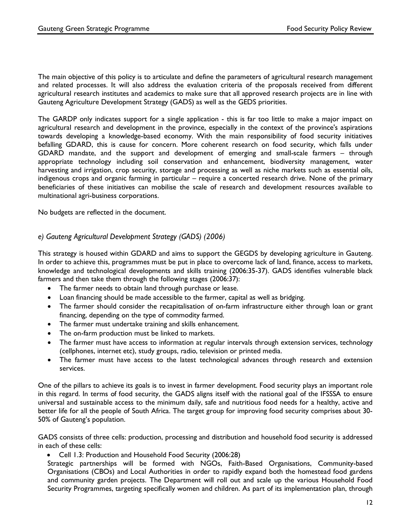The main objective of this policy is to articulate and define the parameters of agricultural research management and related processes. It will also address the evaluation criteria of the proposals received from different agricultural research institutes and academics to make sure that all approved research projects are in line with Gauteng Agriculture Development Strategy (GADS) as well as the GEDS priorities.

The GARDP only indicates support for a single application - this is far too little to make a major impact on agricultural research and development in the province, especially in the context of the province's aspirations towards developing a knowledge-based economy. With the main responsibility of food security initiatives befalling GDARD, this is cause for concern. More coherent research on food security, which falls under GDARD mandate, and the support and development of emerging and small-scale farmers – through appropriate technology including soil conservation and enhancement, biodiversity management, water harvesting and irrigation, crop security, storage and processing as well as niche markets such as essential oils, indigenous crops and organic farming in particular – require a concerted research drive. None of the primary beneficiaries of these initiatives can mobilise the scale of research and development resources available to multinational agri-business corporations.

No budgets are reflected in the document.

### *e) Gauteng Agricultural Development Strategy (GADS) (2006)*

This strategy is housed within GDARD and aims to support the GEGDS by developing agriculture in Gauteng. In order to achieve this, programmes must be put in place to overcome lack of land, finance, access to markets, knowledge and technological developments and skills training (2006:35-37). GADS identifies vulnerable black farmers and then take them through the following stages (2006:37):

- The farmer needs to obtain land through purchase or lease.
- Loan financing should be made accessible to the farmer, capital as well as bridging.
- The farmer should consider the recapitalisation of on-farm infrastructure either through loan or grant financing, depending on the type of commodity farmed.
- The farmer must undertake training and skills enhancement.
- The on-farm production must be linked to markets.
- The farmer must have access to information at regular intervals through extension services, technology (cellphones, internet etc), study groups, radio, television or printed media.
- The farmer must have access to the latest technological advances through research and extension services.

One of the pillars to achieve its goals is to invest in farmer development. Food security plays an important role in this regard. In terms of food security, the GADS aligns itself with the national goal of the IFSSSA to ensure universal and sustainable access to the minimum daily, safe and nutritious food needs for a healthy, active and better life for all the people of South Africa. The target group for improving food security comprises about 30- 50% of Gauteng's population.

GADS consists of three cells: production, processing and distribution and household food security is addressed in each of these cells:

• Cell 1.3: Production and Household Food Security (2006:28)

Strategic partnerships will be formed with NGOs, Faith-Based Organisations, Community-based Organisations (CBOs) and Local Authorities in order to rapidly expand both the homestead food gardens and community garden projects. The Department will roll out and scale up the various Household Food Security Programmes, targeting specifically women and children. As part of its implementation plan, through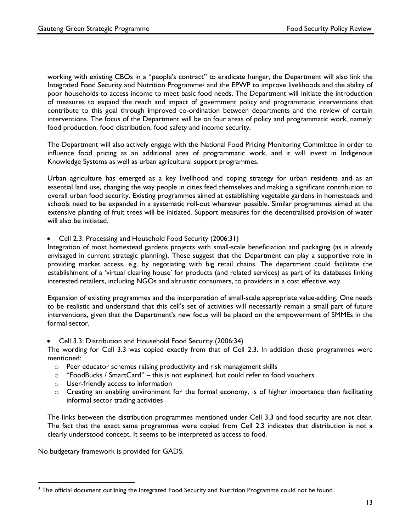working with existing CBOs in a "people's contract" to eradicate hunger, the Department will also link the Integrated Food Security and Nutrition Programme3 and the EPWP to improve livelihoods and the ability of poor households to access income to meet basic food needs. The Department will initiate the introduction of measures to expand the reach and impact of government policy and programmatic interventions that contribute to this goal through improved co-ordination between departments and the review of certain interventions. The focus of the Department will be on four areas of policy and programmatic work, namely: food production, food distribution, food safety and income security.

The Department will also actively engage with the National Food Pricing Monitoring Committee in order to influence food pricing as an additional area of programmatic work, and it will invest in Indigenous Knowledge Systems as well as urban agricultural support programmes.

Urban agriculture has emerged as a key livelihood and coping strategy for urban residents and as an essential land use, changing the way people in cities feed themselves and making a significant contribution to overall urban food security. Existing programmes aimed at establishing vegetable gardens in homesteads and schools need to be expanded in a systematic roll-out wherever possible. Similar programmes aimed at the extensive planting of fruit trees will be initiated. Support measures for the decentralised provision of water will also be initiated.

• Cell 2.3: Processing and Household Food Security (2006:31)

Integration of most homestead gardens projects with small-scale beneficiation and packaging (as is already envisaged in current strategic planning). These suggest that the Department can play a supportive role in providing market access, e.g. by negotiating with big retail chains. The department could facilitate the establishment of a 'virtual clearing house' for products (and related services) as part of its databases linking interested retailers, including NGOs and altruistic consumers, to providers in a cost effective way

Expansion of existing programmes and the incorporation of small-scale appropriate value-adding. One needs to be realistic and understand that this cell's set of activities will necessarily remain a small part of future interventions, given that the Department's new focus will be placed on the empowerment of SMMEs in the formal sector.

• Cell 3.3: Distribution and Household Food Security (2006:34)

The wording for Cell 3.3 was copied exactly from that of Cell 2.3. In addition these programmes were mentioned:

- o Peer educator schemes raising productivity and risk management skills
- o "FoodBucks / SmartCard" this is not explained, but could refer to food vouchers
- o User-friendly access to information
- o Creating an enabling environment for the formal economy, is of higher importance than facilitating informal sector trading activities

The links between the distribution programmes mentioned under Cell 3.3 and food security are not clear. The fact that the exact same programmes were copied from Cell 2.3 indicates that distribution is not a clearly understood concept. It seems to be interpreted as access to food.

No budgetary framework is provided for GADS.

 

<sup>&</sup>lt;sup>3</sup> The official document outlining the Integrated Food Security and Nutrition Programme could not be found.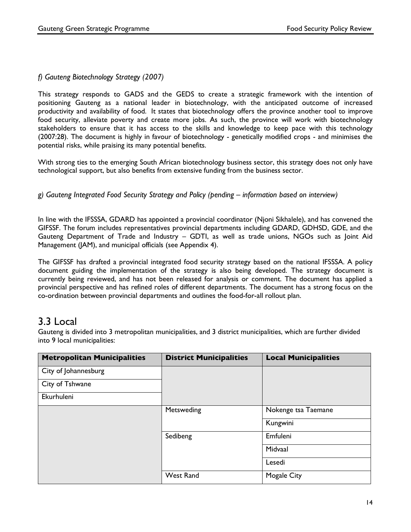### *f) Gauteng Biotechnology Strategy (2007)*

This strategy responds to GADS and the GEDS to create a strategic framework with the intention of positioning Gauteng as a national leader in biotechnology, with the anticipated outcome of increased productivity and availability of food. It states that biotechnology offers the province another tool to improve food security, alleviate poverty and create more jobs. As such, the province will work with biotechnology stakeholders to ensure that it has access to the skills and knowledge to keep pace with this technology (2007:28). The document is highly in favour of biotechnology - genetically modified crops - and minimises the potential risks, while praising its many potential benefits.

With strong ties to the emerging South African biotechnology business sector, this strategy does not only have technological support, but also benefits from extensive funding from the business sector.

#### *g) Gauteng Integrated Food Security Strategy and Policy (pending – information based on interview)*

In line with the IFSSSA, GDARD has appointed a provincial coordinator (Njoni Sikhalele), and has convened the GIFSSF. The forum includes representatives provincial departments including GDARD, GDHSD, GDE, and the Gauteng Department of Trade and Industry – GDTI, as well as trade unions, NGOs such as Joint Aid Management (JAM), and municipal officials (see Appendix 4).

The GIFSSF has drafted a provincial integrated food security strategy based on the national IFSSSA. A policy document guiding the implementation of the strategy is also being developed. The strategy document is currently being reviewed, and has not been released for analysis or comment. The document has applied a provincial perspective and has refined roles of different departments. The document has a strong focus on the co-ordination between provincial departments and outlines the food-for-all rollout plan.

### 3.3 Local

Gauteng is divided into 3 metropolitan municipalities, and 3 district municipalities, which are further divided into 9 local municipalities:

| <b>Metropolitan Municipalities</b> | <b>District Municipalities</b> | <b>Local Municipalities</b> |
|------------------------------------|--------------------------------|-----------------------------|
| City of Johannesburg               |                                |                             |
| City of Tshwane                    |                                |                             |
| Ekurhuleni                         |                                |                             |
|                                    | Metsweding                     | Nokenge tsa Taemane         |
|                                    |                                | Kungwini                    |
|                                    | Sedibeng                       | Emfuleni                    |
|                                    |                                | Midvaal                     |
|                                    |                                | Lesedi                      |
|                                    | <b>West Rand</b>               | <b>Mogale City</b>          |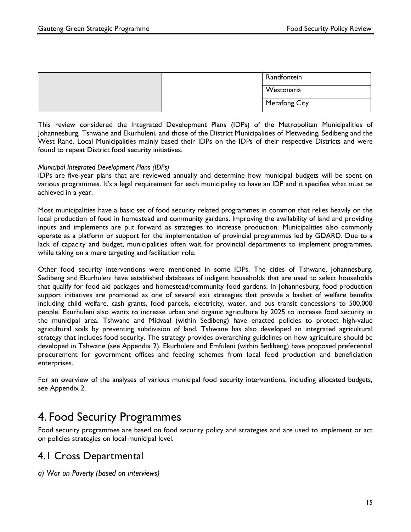|  | Westonaria    |
|--|---------------|
|  | Merafong City |

This review considered the Integrated Development Plans (IDPs) of the Metropolitan Municipalities of Johannesburg, Tshwane and Ekurhuleni, and those of the District Municipalities of Metweding, Sedibeng and the West Rand. Local Municipalities mainly based their IDPs on the IDPs of their respective Districts and were found to repeat District food security initiatives.

#### *Municipal Integrated Development Plans (IDPs)*

IDPs are five-year plans that are reviewed annually and determine how municipal budgets will be spent on various programmes. It's a legal requirement for each municipality to have an IDP and it specifies what must be achieved in a year.

Most municipalities have a basic set of food security related programmes in common that relies heavily on the local production of food in homestead and community gardens. Improving the availability of land and providing inputs and implements are put forward as strategies to increase production. Municipalities also commonly operate as a platform or support for the implementation of provincial programmes led by GDARD. Due to a lack of capacity and budget, municipalities often wait for provincial departments to implement programmes, while taking on a mere targeting and facilitation role.

Other food security interventions were mentioned in some IDPs. The cities of Tshwane, Johannesburg, Sedibeng and Ekurhuleni have established databases of indigent households that are used to select households that qualify for food aid packages and homestead/community food gardens. In Johannesburg, food production support initiatives are promoted as one of several exit strategies that provide a basket of welfare benefits including child welfare, cash grants, food parcels, electricity, water, and bus transit concessions to 500,000 people. Ekurhuleni also wants to increase urban and organic agriculture by 2025 to increase food security in the municipal area. Tshwane and Midvaal (within Sedibeng) have enacted policies to protect high-value agricultural soils by preventing subdivision of land. Tshwane has also developed an integrated agricultural strategy that includes food security. The strategy provides overarching guidelines on how agriculture should be developed in Tshwane (see Appendix 2). Ekurhuleni and Emfuleni (within Sedibeng) have proposed preferential procurement for government offices and feeding schemes from local food production and beneficiation enterprises.

For an overview of the analyses of various municipal food security interventions, including allocated budgets, see Appendix 2.

## 4. Food Security Programmes

Food security programmes are based on food security policy and strategies and are used to implement or act on policies strategies on local municipal level.

### 4.1 Cross Departmental

*a) War on Poverty (based on interviews)*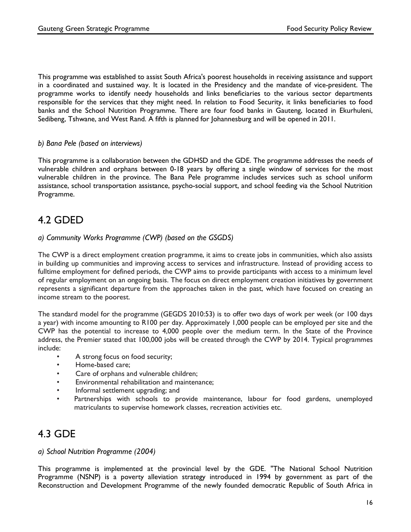This programme was established to assist South Africa's poorest households in receiving assistance and support in a coordinated and sustained way. It is located in the Presidency and the mandate of vice-president. The programme works to identify needy households and links beneficiaries to the various sector departments responsible for the services that they might need. In relation to Food Security, it links beneficiaries to food banks and the School Nutrition Programme. There are four food banks in Gauteng, located in Ekurhuleni, Sedibeng, Tshwane, and West Rand. A fifth is planned for Johannesburg and will be opened in 2011.

#### *b) Bana Pele (based on interviews)*

This programme is a collaboration between the GDHSD and the GDE. The programme addresses the needs of vulnerable children and orphans between 0-18 years by offering a single window of services for the most vulnerable children in the province. The Bana Pele programme includes services such as school uniform assistance, school transportation assistance, psycho-social support, and school feeding via the School Nutrition Programme.

### 4.2 GDED

#### *a) Community Works Programme (CWP) (based on the GSGDS)*

The CWP is a direct employment creation programme, it aims to create jobs in communities, which also assists in building up communities and improving access to services and infrastructure. Instead of providing access to fulltime employment for defined periods, the CWP aims to provide participants with access to a minimum level of regular employment on an ongoing basis. The focus on direct employment creation initiatives by government represents a significant departure from the approaches taken in the past, which have focused on creating an income stream to the poorest.

The standard model for the programme (GEGDS 2010:53) is to offer two days of work per week (or 100 days a year) with income amounting to R100 per day. Approximately 1,000 people can be employed per site and the CWP has the potential to increase to 4,000 people over the medium term. In the State of the Province address, the Premier stated that 100,000 jobs will be created through the CWP by 2014. Typical programmes include:

- A strong focus on food security;
- Home-based care;
- Care of orphans and vulnerable children;
- Environmental rehabilitation and maintenance;
- Informal settlement upgrading; and
- Partnerships with schools to provide maintenance, labour for food gardens, unemployed matriculants to supervise homework classes, recreation activities etc.

### 4.3 GDE

#### *a) School Nutrition Programme (2004)*

This programme is implemented at the provincial level by the GDE. "The National School Nutrition Programme (NSNP) is a poverty alleviation strategy introduced in 1994 by government as part of the Reconstruction and Development Programme of the newly founded democratic Republic of South Africa in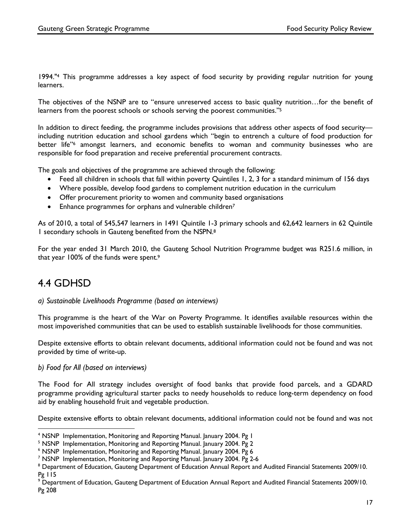1994."4 This programme addresses a key aspect of food security by providing regular nutrition for young learners.

The objectives of the NSNP are to "ensure unreserved access to basic quality nutrition…for the benefit of learners from the poorest schools or schools serving the poorest communities."<sup>5</sup>

In addition to direct feeding, the programme includes provisions that address other aspects of food security including nutrition education and school gardens which "begin to entrench a culture of food production for better life"6 amongst learners, and economic benefits to woman and community businesses who are responsible for food preparation and receive preferential procurement contracts.

The goals and objectives of the programme are achieved through the following:

- Feed all children in schools that fall within poverty Quintiles 1, 2, 3 for a standard minimum of 156 days
- Where possible, develop food gardens to complement nutrition education in the curriculum
- Offer procurement priority to women and community based organisations
- Enhance programmes for orphans and vulnerable children7

As of 2010, a total of 545,547 learners in 1491 Quintile 1-3 primary schools and 62,642 learners in 62 Quintile 1 secondary schools in Gauteng benefited from the NSPN.8

For the year ended 31 March 2010, the Gauteng School Nutrition Programme budget was R251.6 million, in that year 100% of the funds were spent.9

## 4.4 GDHSD

#### *a) Sustainable Livelihoods Programme (based on interviews)*

This programme is the heart of the War on Poverty Programme. It identifies available resources within the most impoverished communities that can be used to establish sustainable livelihoods for those communities.

Despite extensive efforts to obtain relevant documents, additional information could not be found and was not provided by time of write-up.

#### *b) Food for All (based on interviews)*

 

The Food for All strategy includes oversight of food banks that provide food parcels, and a GDARD programme providing agricultural starter packs to needy households to reduce long-term dependency on food aid by enabling household fruit and vegetable production.

Despite extensive efforts to obtain relevant documents, additional information could not be found and was not

<sup>&</sup>lt;sup>4</sup> NSNP Implementation, Monitoring and Reporting Manual. January 2004. Pg I

<sup>&</sup>lt;sup>5</sup> NSNP Implementation, Monitoring and Reporting Manual. January 2004. Pg 2

<sup>6</sup> NSNP Implementation, Monitoring and Reporting Manual. January 2004. Pg 6

<sup>7</sup> NSNP Implementation, Monitoring and Reporting Manual. January 2004. Pg 2-6

<sup>8</sup> Department of Education, Gauteng Department of Education Annual Report and Audited Financial Statements 2009/10. Pg 115

 $^9$  Department of Education, Gauteng Department of Education Annual Report and Audited Financial Statements 2009/10. Pg 208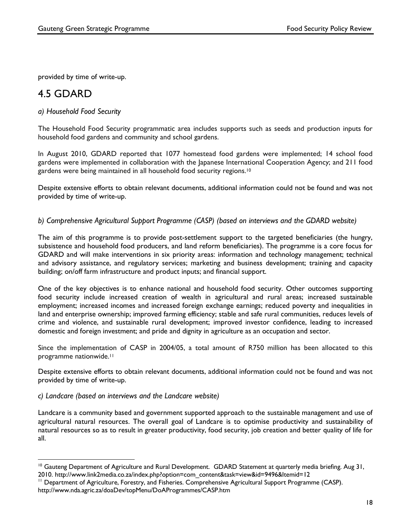provided by time of write-up.

## 4.5 GDARD

#### *a) Household Food Security*

The Household Food Security programmatic area includes supports such as seeds and production inputs for household food gardens and community and school gardens.

In August 2010, GDARD reported that 1077 homestead food gardens were implemented; 14 school food gardens were implemented in collaboration with the Japanese International Cooperation Agency; and 211 food gardens were being maintained in all household food security regions.10

Despite extensive efforts to obtain relevant documents, additional information could not be found and was not provided by time of write-up.

#### *b) Comprehensive Agricultural Support Programme (CASP) (based on interviews and the GDARD website)*

The aim of this programme is to provide post-settlement support to the targeted beneficiaries (the hungry, subsistence and household food producers, and land reform beneficiaries). The programme is a core focus for GDARD and will make interventions in six priority areas: information and technology management; technical and advisory assistance, and regulatory services; marketing and business development; training and capacity building; on/off farm infrastructure and product inputs; and financial support.

One of the key objectives is to enhance national and household food security. Other outcomes supporting food security include increased creation of wealth in agricultural and rural areas; increased sustainable employment; increased incomes and increased foreign exchange earnings; reduced poverty and inequalities in land and enterprise ownership; improved farming efficiency; stable and safe rural communities, reduces levels of crime and violence, and sustainable rural development; improved investor confidence, leading to increased domestic and foreign investment; and pride and dignity in agriculture as an occupation and sector.

Since the implementation of CASP in 2004/05, a total amount of R750 million has been allocated to this programme nationwide.11

Despite extensive efforts to obtain relevant documents, additional information could not be found and was not provided by time of write-up.

#### *c) Landcare (based on interviews and the Landcare website)*

Landcare is a community based and government supported approach to the sustainable management and use of agricultural natural resources. The overall goal of Landcare is to optimise productivity and sustainability of natural resources so as to result in greater productivity, food security, job creation and better quality of life for all.

  $10$  Gauteng Department of Agriculture and Rural Development. GDARD Statement at quarterly media briefing. Aug 31, 2010. http://www.link2media.co.za/index.php?option=com\_content&task=view&id=9496&Itemid=12

<sup>&</sup>lt;sup>11</sup> Department of Agriculture, Forestry, and Fisheries. Comprehensive Agricultural Support Programme (CASP). http://www.nda.agric.za/doaDev/topMenu/DoAProgrammes/CASP.htm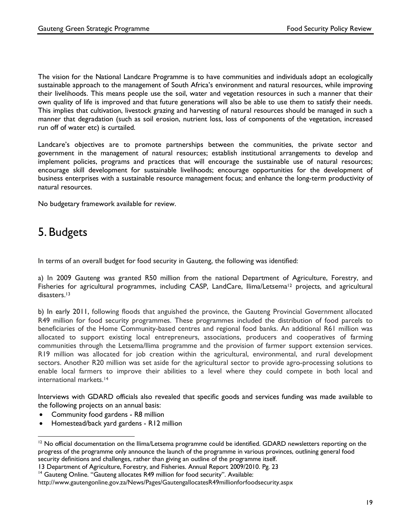The vision for the National Landcare Programme is to have communities and individuals adopt an ecologically sustainable approach to the management of South Africa's environment and natural resources, while improving their livelihoods. This means people use the soil, water and vegetation resources in such a manner that their own quality of life is improved and that future generations will also be able to use them to satisfy their needs. This implies that cultivation, livestock grazing and harvesting of natural resources should be managed in such a manner that degradation (such as soil erosion, nutrient loss, loss of components of the vegetation, increased run off of water etc) is curtailed.

Landcare's objectives are to promote partnerships between the communities, the private sector and government in the management of natural resources; establish institutional arrangements to develop and implement policies, programs and practices that will encourage the sustainable use of natural resources; encourage skill development for sustainable livelihoods; encourage opportunities for the development of business enterprises with a sustainable resource management focus; and enhance the long-term productivity of natural resources.

No budgetary framework available for review.

# 5. Budgets

In terms of an overall budget for food security in Gauteng, the following was identified:

a) In 2009 Gauteng was granted R50 million from the national Department of Agriculture, Forestry, and Fisheries for agricultural programmes, including CASP, LandCare, Ilima/Letsema<sup>12</sup> projects, and agricultural disasters.<sup>13</sup>

b) In early 2011, following floods that anguished the province, the Gauteng Provincial Government allocated R49 million for food security programmes. These programmes included the distribution of food parcels to beneficiaries of the Home Community-based centres and regional food banks. An additional R61 million was allocated to support existing local entrepreneurs, associations, producers and cooperatives of farming communities through the Letsema/Ilima programme and the provision of farmer support extension services. R19 million was allocated for job creation within the agricultural, environmental, and rural development sectors. Another R20 million was set aside for the agricultural sector to provide agro-processing solutions to enable local farmers to improve their abilities to a level where they could compete in both local and international markets.14

Interviews with GDARD officials also revealed that specific goods and services funding was made available to the following projects on an annual basis:

• Community food gardens - R8 million

 

• Homestead/back yard gardens - R12 million

<sup>&</sup>lt;sup>12</sup> No official documentation on the Ilima/Letsema programme could be identified. GDARD newsletters reporting on the progress of the programme only announce the launch of the programme in various provinces, outlining general food security definitions and challenges, rather than giving an outline of the programme itself.

<sup>13</sup> Department of Agriculture, Forestry, and Fisheries. Annual Report 2009/2010. Pg. 23

<sup>&</sup>lt;sup>14</sup> Gauteng Online. "Gauteng allocates R49 million for food security". Available:

http://www.gautengonline.gov.za/News/Pages/GautengallocatesR49millionforfoodsecurity.aspx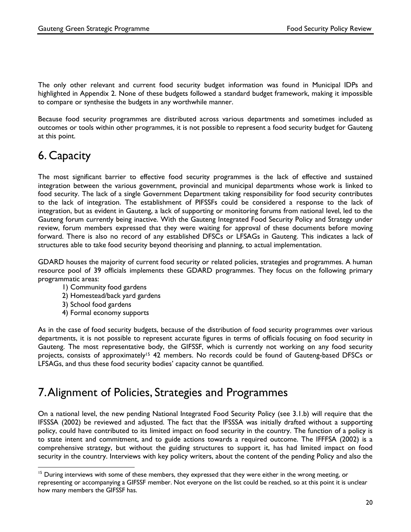The only other relevant and current food security budget information was found in Municipal IDPs and highlighted in Appendix 2. None of these budgets followed a standard budget framework, making it impossible to compare or synthesise the budgets in any worthwhile manner.

Because food security programmes are distributed across various departments and sometimes included as outcomes or tools within other programmes, it is not possible to represent a food security budget for Gauteng at this point.

# 6. Capacity

The most significant barrier to effective food security programmes is the lack of effective and sustained integration between the various government, provincial and municipal departments whose work is linked to food security. The lack of a single Government Department taking responsibility for food security contributes to the lack of integration. The establishment of PIFSSFs could be considered a response to the lack of integration, but as evident in Gauteng, a lack of supporting or monitoring forums from national level, led to the Gauteng forum currently being inactive. With the Gauteng Integrated Food Security Policy and Strategy under review, forum members expressed that they were waiting for approval of these documents before moving forward. There is also no record of any established DFSCs or LFSAGs in Gauteng. This indicates a lack of structures able to take food security beyond theorising and planning, to actual implementation.

GDARD houses the majority of current food security or related policies, strategies and programmes. A human resource pool of 39 officials implements these GDARD programmes. They focus on the following primary programmatic areas:

- 1) Community food gardens
- 2) Homestead/back yard gardens
- 3) School food gardens

 

4) Formal economy supports

As in the case of food security budgets, because of the distribution of food security programmes over various departments, it is not possible to represent accurate figures in terms of officials focusing on food security in Gauteng. The most representative body, the GIFSSF, which is currently not working on any food security projects, consists of approximately<sup>15</sup> 42 members. No records could be found of Gauteng-based DFSCs or LFSAGs, and thus these food security bodies' capacity cannot be quantified.

## 7. Alignment of Policies, Strategies and Programmes

On a national level, the new pending National Integrated Food Security Policy (see 3.1.b) will require that the IFSSSA (2002) be reviewed and adjusted. The fact that the IFSSSA was initially drafted without a supporting policy, could have contributed to its limited impact on food security in the country. The function of a policy is to state intent and commitment, and to guide actions towards a required outcome. The IFFFSA (2002) is a comprehensive strategy, but without the guiding structures to support it, has had limited impact on food security in the country. Interviews with key policy writers, about the content of the pending Policy and also the

<sup>&</sup>lt;sup>15</sup> During interviews with some of these members, they expressed that they were either in the wrong meeting, or representing or accompanying a GIFSSF member. Not everyone on the list could be reached, so at this point it is unclear how many members the GIFSSF has.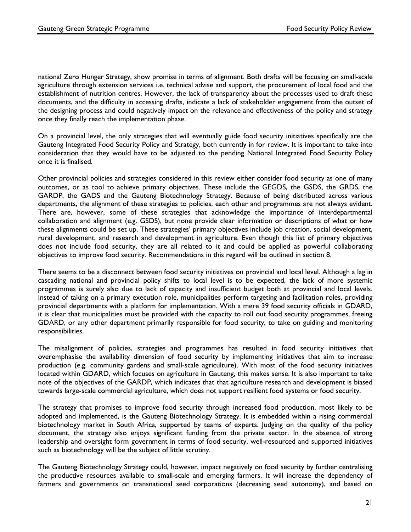national Zero Hunger Strategy, show promise in terms of alignment. Both drafts will be focusing on small-scale agriculture through extension services i.e. technical advise and support, the procurement of local food and the establishment of nutrition centres. However, the lack of transparency about the processes used to draft these documents, and the difficulty in accessing drafts, indicate a lack of stakeholder engagement from the outset of the designing process and could negatively impact on the relevance and effectiveness of the policy and strategy once they finally reach the implementation phase.

On a provincial level, the only strategies that will eventually guide food security initiatives specifically are the Gauteng Integrated Food Security Policy and Strategy, both currently in for review. It is important to take into consideration that they would have to be adjusted to the pending National Integrated Food Security Policy once it is finalised.

Other provincial policies and strategies considered in this review either consider food security as one of many outcomes, or as tool to achieve primary objectives. These include the GEGDS, the GSDS, the GRDS, the GARDP, the GADS and the Gauteng Biotechnology Strategy. Because of being distributed across various departments, the alignment of these strategies to policies, each other and programmes are not always evident. There are, however, some of these strategies that acknowledge the importance of interdepartmental collaboration and alignment (e.g. GSDS), but none provide clear information or descriptions of what or how these alignments could be set up. These strategies' primary objectives include job creation, social development, rural development, and research and development in agriculture. Even though this list of primary objectives does not include food security, they are all related to it and could be applied as powerful collaborating objectives to improve food security. Recommendations in this regard will be outlined in section 8.

There seems to be a disconnect between food security initiatives on provincial and local level. Although a lag in cascading national and provincial policy shifts to local level is to be expected, the lack of more systemic programmes is surely also due to lack of capacity and insufficient budget both at provincial and local levels. Instead of taking on a primary execution role, municipalities perform targeting and facilitation roles, providing provincial departments with a platform for implementation. With a mere 39 food security officials in GDARD, it is clear that municipalities must be provided with the capacity to roll out food security programmes, freeing GDARD, or any other department primarily responsible for food security, to take on guiding and monitoring responsibilities.

The misalignment of policies, strategies and programmes has resulted in food security initiatives that overemphasise the availability dimension of food security by implementing initiatives that aim to increase production (e.g. community gardens and small-scale agriculture). With most of the food security initiatives located within GDARD, which focuses on agriculture in Gauteng, this makes sense. It is also important to take note of the objectives of the GARDP, which indicates that that agriculture research and development is biased towards large-scale commercial agriculture, which does not support resilient food systems or food security.

The strategy that promises to improve food security through increased food production, most likely to be adopted and implemented, is the Gauteng Biotechnology Strategy. It is embedded within a rising commercial biotechnology market in South Africa, supported by teams of experts. Judging on the quality of the policy document, the strategy also enjoys significant funding from the private sector. In the absence of strong leadership and oversight form government in terms of food security, well-resourced and supported initiatives such as biotechnology will be the subject of little scrutiny.

The Gauteng Biotechnology Strategy could, however, impact negatively on food security by further centralising the productive resources available to small-scale and emerging farmers. It will increase the dependency of farmers and governments on transnational seed corporations (decreasing seed autonomy), and based on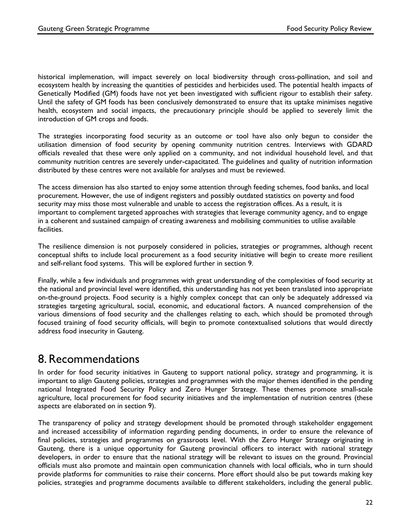historical implemenation, will impact severely on local biodiversity through cross-pollination, and soil and ecosystem health by increasing the quantities of pesticides and herbicides used. The potential health impacts of Genetically Modified (GM) foods have not yet been investigated with sufficient rigour to establish their safety. Until the safety of GM foods has been conclusively demonstrated to ensure that its uptake minimises negative health, ecosystem and social impacts, the precautionary principle should be applied to severely limit the introduction of GM crops and foods.

The strategies incorporating food security as an outcome or tool have also only begun to consider the utilisation dimension of food security by opening community nutrition centres. Interviews with GDARD officials revealed that these were only applied on a community, and not individual household level, and that community nutrition centres are severely under-capacitated. The guidelines and quality of nutrition information distributed by these centres were not available for analyses and must be reviewed.

The access dimension has also started to enjoy some attention through feeding schemes, food banks, and local procurement. However, the use of indigent registers and possibly outdated statistics on poverty and food security may miss those most vulnerable and unable to access the registration offices. As a result, it is important to complement targeted approaches with strategies that leverage community agency, and to engage in a coherent and sustained campaign of creating awareness and mobilising communities to utilise available facilities.

The resilience dimension is not purposely considered in policies, strategies or programmes, although recent conceptual shifts to include local procurement as a food security initiative will begin to create more resilient and self-reliant food systems. This will be explored further in section 9.

Finally, while a few individuals and programmes with great understanding of the complexities of food security at the national and provincial level were identified, this understanding has not yet been translated into appropriate on-the-ground projects. Food security is a highly complex concept that can only be adequately addressed via strategies targeting agricultural, social, economic, and educational factors. A nuanced comprehension of the various dimensions of food security and the challenges relating to each, which should be promoted through focused training of food security officials, will begin to promote contextualised solutions that would directly address food insecurity in Gauteng.

## 8. Recommendations

In order for food security initiatives in Gauteng to support national policy, strategy and programming, it is important to align Gauteng policies, strategies and programmes with the major themes identified in the pending national Integrated Food Security Policy and Zero Hunger Strategy. These themes promote small-scale agriculture, local procurement for food security initiatives and the implementation of nutrition centres (these aspects are elaborated on in section 9).

The transparency of policy and strategy development should be promoted through stakeholder engagement and increased accessibility of information regarding pending documents, in order to ensure the relevance of final policies, strategies and programmes on grassroots level. With the Zero Hunger Strategy originating in Gauteng, there is a unique opportunity for Gauteng provincial officers to interact with national strategy developers, in order to ensure that the national strategy will be relevant to issues on the ground. Provincial officials must also promote and maintain open communication channels with local officials, who in turn should provide platforms for communities to raise their concerns. More effort should also be put towards making key policies, strategies and programme documents available to different stakeholders, including the general public.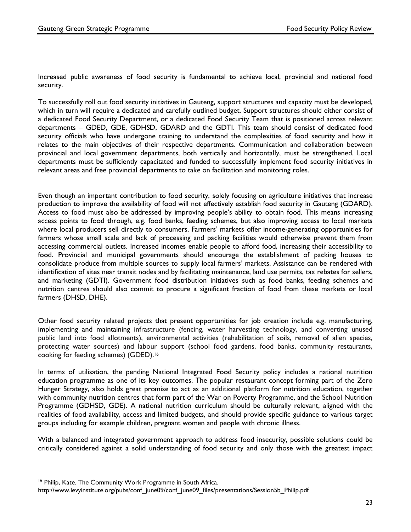Increased public awareness of food security is fundamental to achieve local, provincial and national food security.

To successfully roll out food security initiatives in Gauteng, support structures and capacity must be developed, which in turn will require a dedicated and carefully outlined budget. Support structures should either consist of a dedicated Food Security Department, or a dedicated Food Security Team that is positioned across relevant departments – GDED, GDE, GDHSD, GDARD and the GDTI. This team should consist of dedicated food security officials who have undergone training to understand the complexities of food security and how it relates to the main objectives of their respective departments. Communication and collaboration between provincial and local government departments, both vertically and horizontally, must be strengthened. Local departments must be sufficiently capacitated and funded to successfully implement food security initiatives in relevant areas and free provincial departments to take on facilitation and monitoring roles.

Even though an important contribution to food security, solely focusing on agriculture initiatives that increase production to improve the availability of food will not effectively establish food security in Gauteng (GDARD). Access to food must also be addressed by improving people's ability to obtain food. This means increasing access points to food through, e.g. food banks, feeding schemes, but also improving access to local markets where local producers sell directly to consumers. Farmers' markets offer income-generating opportunities for farmers whose small scale and lack of processing and packing facilities would otherwise prevent them from accessing commercial outlets. Increased incomes enable people to afford food, increasing their accessibility to food. Provincial and municipal governments should encourage the establishment of packing houses to consolidate produce from multiple sources to supply local farmers' markets. Assistance can be rendered with identification of sites near transit nodes and by facilitating maintenance, land use permits, tax rebates for sellers, and marketing (GDTI). Government food distribution initiatives such as food banks, feeding schemes and nutrition centres should also commit to procure a significant fraction of food from these markets or local farmers (DHSD, DHE).

Other food security related projects that present opportunities for job creation include e.g. manufacturing, implementing and maintaining infrastructure (fencing, water harvesting technology, and converting unused public land into food allotments), environmental activities (rehabilitation of soils, removal of alien species, protecting water sources) and labour support (school food gardens, food banks, community restaurants, cooking for feeding schemes) (GDED). 16

In terms of utilisation, the pending National Integrated Food Security policy includes a national nutrition education programme as one of its key outcomes. The popular restaurant concept forming part of the Zero Hunger Strategy, also holds great promise to act as an additional platform for nutrition education, together with community nutrition centres that form part of the War on Poverty Programme, and the School Nutrition Programme (GDHSD, GDE). A national nutrition curriculum should be culturally relevant, aligned with the realities of food availability, access and limited budgets, and should provide specific guidance to various target groups including for example children, pregnant women and people with chronic illness.

With a balanced and integrated government approach to address food insecurity, possible solutions could be critically considered against a solid understanding of food security and only those with the greatest impact

 

<sup>&</sup>lt;sup>16</sup> Philip, Kate. The Community Work Programme in South Africa.

http://www.levyinstitute.org/pubs/conf\_june09/conf\_june09\_files/presentations/Session5b\_Philip.pdf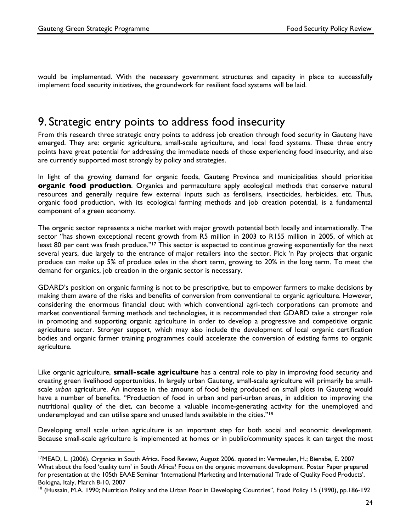would be implemented. With the necessary government structures and capacity in place to successfully implement food security initiatives, the groundwork for resilient food systems will be laid.

## 9. Strategic entry points to address food insecurity

From this research three strategic entry points to address job creation through food security in Gauteng have emerged. They are: organic agriculture, small-scale agriculture, and local food systems. These three entry points have great potential for addressing the immediate needs of those experiencing food insecurity, and also are currently supported most strongly by policy and strategies.

In light of the growing demand for organic foods, Gauteng Province and municipalities should prioritise **organic food production**. Organics and permaculture apply ecological methods that conserve natural resources and generally require few external inputs such as fertilisers, insecticides, herbicides, etc. Thus, organic food production, with its ecological farming methods and job creation potential, is a fundamental component of a green economy.

The organic sector represents a niche market with major growth potential both locally and internationally. The sector "has shown exceptional recent growth from R5 million in 2003 to R155 million in 2005, of which at least 80 per cent was fresh produce."<sup>17</sup> This sector is expected to continue growing exponentially for the next several years, due largely to the entrance of major retailers into the sector. Pick 'n Pay projects that organic produce can make up 5% of produce sales in the short term, growing to 20% in the long term. To meet the demand for organics, job creation in the organic sector is necessary.

GDARD's position on organic farming is not to be prescriptive, but to empower farmers to make decisions by making them aware of the risks and benefits of conversion from conventional to organic agriculture. However, considering the enormous financial clout with which conventional agri-tech corporations can promote and market conventional farming methods and technologies, it is recommended that GDARD take a stronger role in promoting and supporting organic agriculture in order to develop a progressive and competitive organic agriculture sector. Stronger support, which may also include the development of local organic certification bodies and organic farmer training programmes could accelerate the conversion of existing farms to organic agriculture.

Like organic agriculture, **small-scale agriculture** has a central role to play in improving food security and creating green livelihood opportunities. In largely urban Gauteng, small-scale agriculture will primarily be smallscale *urban* agriculture. An increase in the amount of food being produced on small plots in Gauteng would have a number of benefits. "Production of food in urban and peri-urban areas, in addition to improving the nutritional quality of the diet, can become a valuable income-generating activity for the unemployed and underemployed and can utilise spare and unused lands available in the cities."18

Developing small scale urban agriculture is an important step for both social and economic development. Because small-scale agriculture is implemented at homes or in public/community spaces it can target the most

<sup>&</sup>lt;sup>17</sup>MEAD, L. (2006). Organics in South Africa. Food Review, August 2006. quoted in: Vermeulen, H.; Bienabe, E. 2007 What about the food 'quality turn' in South Africa? Focus on the organic movement development. Poster Paper prepared for presentation at the 105th EAAE Seminar 'International Marketing and International Trade of Quality Food Products', Bologna, Italy, March 8-10, 2007

<sup>&</sup>lt;sup>18</sup> (Hussain, M.A. 1990; Nutrition Policy and the Urban Poor in Developing Countries", Food Policy 15 (1990), pp.186-192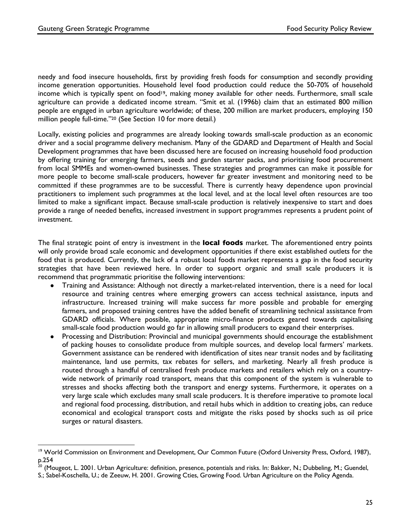needy and food insecure households, first by providing fresh foods for consumption and secondly providing income generation opportunities. Household level food production could reduce the 50-70% of household income which is typically spent on food<sup>19</sup>, making money available for other needs. Furthermore, small scale agriculture can provide a dedicated income stream. "Smit et al. (1996b) claim that an estimated 800 million people are engaged in urban agriculture worldwide; of these, 200 million are market producers, employing 150 million people full-time."20 (See Section 10 for more detail.)

Locally, existing policies and programmes are already looking towards small-scale production as an economic driver and a social programme delivery mechanism. Many of the GDARD and Department of Health and Social Development programmes that have been discussed here are focused on increasing household food production by offering training for emerging farmers, seeds and garden starter packs, and prioritising food procurement from local SMMEs and women-owned businesses. These strategies and programmes can make it possible for more people to become small-scale producers, however far greater investment and monitoring need to be committed if these programmes are to be successful. There is currently heavy dependence upon provincial practitioners to implement such programmes at the local level, and at the local level often resources are too limited to make a significant impact. Because small-scale production is relatively inexpensive to start and does provide a range of needed benefits, increased investment in support programmes represents a prudent point of investment.

The final strategic point of entry is investment in the **local foods** market. The aforementioned entry points will only provide broad scale economic and development opportunities if there exist established outlets for the food that is produced. Currently, the lack of a robust local foods market represents a gap in the food security strategies that have been reviewed here. In order to support organic and small scale producers it is recommend that programmatic prioritise the following interventions:

- Training and Assistance: Although not directly a market-related intervention, there is a need for local resource and training centres where emerging growers can access technical assistance, inputs and infrastructure. Increased training will make success far more possible and probable for emerging farmers, and proposed training centres have the added benefit of streamlining technical assistance from GDARD officials. Where possible, appropriate micro-finance products geared towards capitalising small-scale food production would go far in allowing small producers to expand their enterprises.
- Processing and Distribution: Provincial and municipal governments should encourage the establishment of packing houses to consolidate produce from multiple sources, and develop local farmers' markets. Government assistance can be rendered with identification of sites near transit nodes and by facilitating maintenance, land use permits, tax rebates for sellers, and marketing. Nearly all fresh produce is routed through a handful of centralised fresh produce markets and retailers which rely on a countrywide network of primarily road transport, means that this component of the system is vulnerable to stresses and shocks affecting both the transport and energy systems. Furthermore, it operates on a very large scale which excludes many small scale producers. It is therefore imperative to promote local and regional food processing, distribution, and retail hubs which in addition to creating jobs, can reduce economical and ecological transport costs and mitigate the risks posed by shocks such as oil price surges or natural disasters.

<sup>&</sup>lt;sup>19</sup> World Commission on Environment and Development, Our Common Future (Oxford University Press, Oxford, 1987), p.254

<sup>20</sup> (Mougeot, L. 2001. Urban Agriculture: definition, presence, potentials and risks. In: Bakker, N.; Dubbeling, M.; Guendel,

S.; Sabel-Koschella, U.; de Zeeuw, H. 2001. Growing Cties, Growing Food. Urban Agriculture on the Policy Agenda.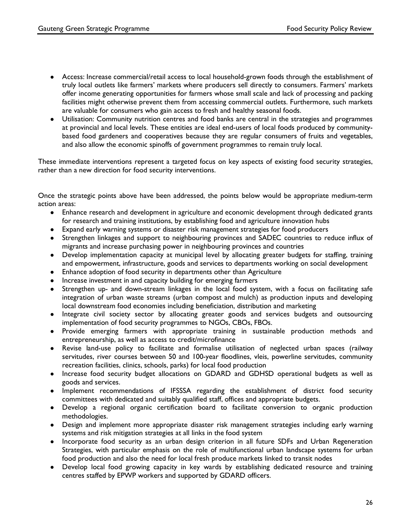- Access: Increase commercial/retail access to local household-grown foods through the establishment of truly local outlets like farmers' markets where producers sell directly to consumers. Farmers' markets offer income generating opportunities for farmers whose small scale and lack of processing and packing facilities might otherwise prevent them from accessing commercial outlets. Furthermore, such markets are valuable for consumers who gain access to fresh and healthy seasonal foods.
- Utilisation: Community nutrition centres and food banks are central in the strategies and programmes at provincial and local levels. These entities are ideal end-users of local foods produced by communitybased food gardeners and cooperatives because they are regular consumers of fruits and vegetables, and also allow the economic spinoffs of government programmes to remain truly local.

These immediate interventions represent a targeted focus on key aspects of existing food security strategies, rather than a new direction for food security interventions.

Once the strategic points above have been addressed, the points below would be appropriate medium-term action areas:

- Enhance research and development in agriculture and economic development through dedicated grants for research and training institutions, by establishing food and agriculture innovation hubs
- Expand early warning systems or disaster risk management strategies for food producers
- Strengthen linkages and support to neighbouring provinces and SADEC countries to reduce influx of migrants and increase purchasing power in neighbouring provinces and countries
- Develop implementation capacity at municipal level by allocating greater budgets for staffing, training and empowerment, infrastructure, goods and services to departments working on social development
- Enhance adoption of food security in departments other than Agriculture
- Increase investment in and capacity building for emerging farmers
- Strengthen up- and down-stream linkages in the local food system, with a focus on facilitating safe integration of urban waste streams (urban compost and mulch) as production inputs and developing local downstream food economies including beneficiation, distribution and marketing
- Integrate civil society sector by allocating greater goods and services budgets and outsourcing implementation of food security programmes to NGOs, CBOs, FBOs.
- Provide emerging farmers with appropriate training in sustainable production methods and entrepreneurship, as well as access to credit/microfinance
- Revise land-use policy to facilitate and formalise utilisation of neglected urban spaces (railway servitudes, river courses between 50 and 100-year floodlines, vleis, powerline servitudes, community recreation facilities, clinics, schools, parks) for local food production
- Increase food security budget allocations on GDARD and GDHSD operational budgets as well as goods and services.
- Implement recommendations of IFSSSA regarding the establishment of district food security committees with dedicated and suitably qualified staff, offices and appropriate budgets.
- Develop a regional organic certification board to facilitate conversion to organic production methodologies.
- Design and implement more appropriate disaster risk management strategies including early warning systems and risk mitigation strategies at all links in the food system
- Incorporate food security as an urban design criterion in all future SDFs and Urban Regeneration Strategies, with particular emphasis on the role of multifunctional urban landscape systems for urban food production and also the need for local fresh produce markets linked to transit nodes
- Develop local food growing capacity in key wards by establishing dedicated resource and training centres staffed by EPWP workers and supported by GDARD officers.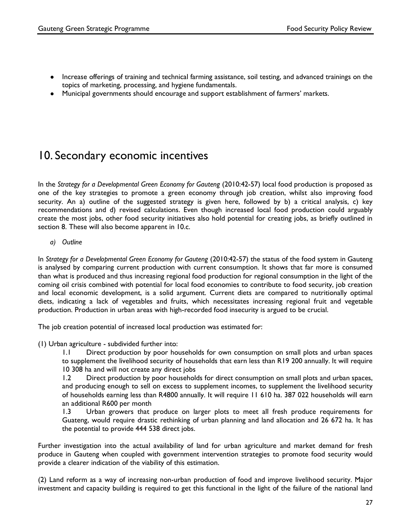- Increase offerings of training and technical farming assistance, soil testing, and advanced trainings on the topics of marketing, processing, and hygiene fundamentals.
- Municipal governments should encourage and support establishment of farmers' markets.

# 10. Secondary economic incentives

In the *Strategy for a Developmental Green Economy for Gauteng* (2010:42-57) local food production is proposed as one of the key strategies to promote a green economy through job creation, whilst also improving food security. An a) outline of the suggested strategy is given here, followed by b) a critical analysis, c) key recommendations and d) revised calculations. Even though increased local food production could arguably create the most jobs, other food security initiatives also hold potential for creating jobs, as briefly outlined in section 8. These will also become apparent in 10.c.

*a) Outline*

In *Strategy for a Developmental Green Economy for Gauteng* (2010:42-57) the status of the food system in Gauteng is analysed by comparing current production with current consumption. It shows that far more is consumed than what is produced and thus increasing regional food production for regional consumption in the light of the coming oil crisis combined with potential for local food economies to contribute to food security, job creation and local economic development, is a solid argument. Current diets are compared to nutritionally optimal diets, indicating a lack of vegetables and fruits, which necessitates increasing regional fruit and vegetable production. Production in urban areas with high-recorded food insecurity is argued to be crucial.

The job creation potential of increased local production was estimated for:

(1) Urban agriculture - subdivided further into:

1.1 Direct production by poor households for own consumption on small plots and urban spaces to supplement the livelihood security of households that earn less than R19 200 annually. It will require 10 308 ha and will not create any direct jobs

1.2 Direct production by poor households for direct consumption on small plots and urban spaces, and producing enough to sell on excess to supplement incomes, to supplement the livelihood security of households earning less than R4800 annually. It will require 11 610 ha. 387 022 households will earn an additional R600 per month

1.3 Urban growers that produce on larger plots to meet all fresh produce requirements for Guateng, would require drastic rethinking of urban planning and land allocation and 26 672 ha. It has the potential to provide 444 538 direct jobs.

Further investigation into the actual availability of land for urban agriculture and market demand for fresh produce in Gauteng when coupled with government intervention strategies to promote food security would provide a clearer indication of the viability of this estimation.

(2) Land reform as a way of increasing non-urban production of food and improve livelihood security. Major investment and capacity building is required to get this functional in the light of the failure of the national land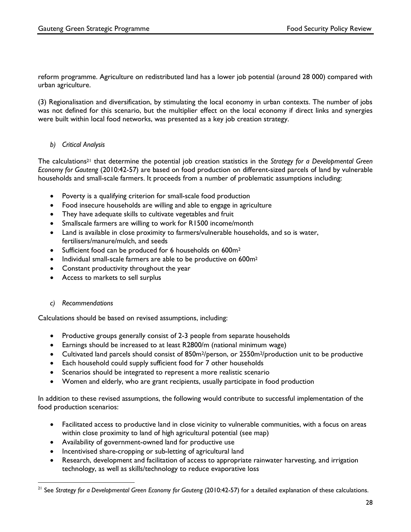reform programme. Agriculture on redistributed land has a lower job potential (around 28 000) compared with urban agriculture.

(3) Regionalisation and diversification, by stimulating the local economy in urban contexts. The number of jobs was not defined for this scenario, but the multiplier effect on the local economy if direct links and synergies were built within local food networks, was presented as a key job creation strategy.

#### *b) Critical Analysis*

The calculations21 that determine the potential job creation statistics in the *Strategy for a Developmental Green Economy for Gauteng* (2010:42-57) are based on food production on different-sized parcels of land by vulnerable households and small-scale farmers. It proceeds from a number of problematic assumptions including:

- Poverty is a qualifying criterion for small-scale food production
- Food insecure households are willing and able to engage in agriculture
- They have adequate skills to cultivate vegetables and fruit
- Smallscale farmers are willing to work for R1500 income/month
- Land is available in close proximity to farmers/vulnerable households, and so is water, fertilisers/manure/mulch, and seeds
- Sufficient food can be produced for 6 households on 600m<sup>2</sup>
- Individual small-scale farmers are able to be productive on 600m<sup>2</sup>
- Constant productivity throughout the year
- Access to markets to sell surplus

#### *c) Recommendations*

 

Calculations should be based on revised assumptions, including:

- Productive groups generally consist of 2-3 people from separate households
- Earnings should be increased to at least R2800/m (national minimum wage)
- Cultivated land parcels should consist of 850m<sup>2</sup>/person, or 2550m<sup>2</sup>/production unit to be productive
- Each household could supply sufficient food for 7 other households
- Scenarios should be integrated to represent a more realistic scenario
- Women and elderly, who are grant recipients, usually participate in food production

In addition to these revised assumptions, the following would contribute to successful implementation of the food production scenarios:

- Facilitated access to productive land in close vicinity to vulnerable communities, with a focus on areas within close proximity to land of high agricultural potential (see map)
- Availability of government-owned land for productive use
- Incentivised share-cropping or sub-letting of agricultural land
- Research, development and facilitation of access to appropriate rainwater harvesting, and irrigation technology, as well as skills/technology to reduce evaporative loss

<sup>21</sup> See *Strategy for a Developmental Green Economy for Gauteng* (2010:42-57) for a detailed explanation of these calculations.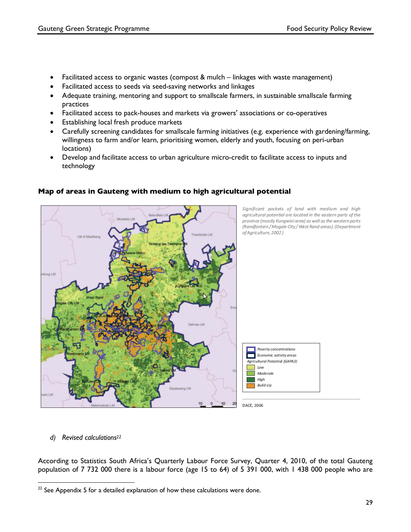- Facilitated access to organic wastes (compost & mulch linkages with waste management)
- Facilitated access to seeds via seed-saving networks and linkages
- Adequate training, mentoring and support to smallscale farmers, in sustainable smallscale farming practices
- Facilitated access to pack-houses and markets via growers' associations or co-operatives
- Establishing local fresh produce markets
- Carefully screening candidates for smallscale farming initiatives (e.g. experience with gardening/farming, willingness to farm and/or learn, prioritising women, elderly and youth, focusing on peri-urban locations)
- Develop and facilitate access to urban agriculture micro-credit to facilitate access to inputs and technology



#### **Map of areas in Gauteng with medium to high agricultural potential**

*d) Revised calculations22*

According to Statistics South Africa's Quarterly Labour Force Survey, Quarter 4, 2010, of the total Gauteng population of 7 732 000 there is a labour force (age 15 to 64) of 5 391 000, with 1 438 000 people who are

  $22$  See Appendix 5 for a detailed explanation of how these calculations were done.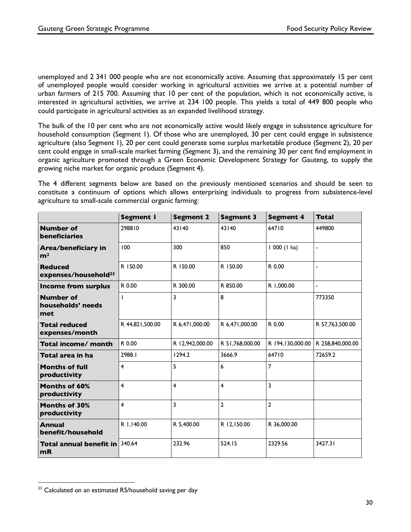unemployed and 2 341 000 people who are not economically active. Assuming that approximately 15 per cent of unemployed people would consider working in agricultural activities we arrive at a potential number of urban farmers of 215 700. Assuming that 10 per cent of the population, which is not economically active, is interested in agricultural activities, we arrive at 234 100 people. This yields a total of 449 800 people who could participate in agricultural activities as an expanded livelihood strategy.

The bulk of the 10 per cent who are not economically active would likely engage in subsistence agriculture for household consumption (Segment 1). Of those who are unemployed, 30 per cent could engage in subsistence agriculture (also Segment 1), 20 per cent could generate some surplus marketable produce (Segment 2), 20 per cent could engage in small-scale market farming (Segment 3), and the remaining 30 per cent find employment in organic agriculture promoted through a Green Economic Development Strategy for Gauteng, to supply the growing niche market for organic produce (Segment 4).

The 4 different segments below are based on the previously mentioned scenarios and should be seen to constitute a continuum of options which allows enterprising individuals to progress from subsistence-level agriculture to small-scale commercial organic farming:

|                                                    | <b>Segment I</b> | <b>Segment 2</b> | <b>Segment 3</b>        | <b>Segment 4</b> | Total            |
|----------------------------------------------------|------------------|------------------|-------------------------|------------------|------------------|
| <b>Number of</b><br><b>beneficiaries</b>           | 298810           | 43140            | 43140                   | 64710            | 449800           |
| Area/beneficiary in<br>m <sup>2</sup>              | 100              | 300              | 850                     | $1000$ (1 ha)    | $\blacksquare$   |
| <b>Reduced</b><br>expenses/household <sup>23</sup> | R 150.00         | R 150.00         | R 150.00                | R 0.00           |                  |
| <b>Income from surplus</b>                         | R 0.00           | R 300.00         | R 850.00                | R 1,000.00       | $\blacksquare$   |
| <b>Number of</b><br>households' needs<br>met       |                  | 3                | 8                       |                  | 773350           |
| <b>Total reduced</b><br>expenses/month             | R 44,821,500.00  | R 6,471,000.00   | R 6,471,000.00          | R 0.00           | R 57,763,500.00  |
| Total income/ month                                | R 0.00           | R 12,942,000.00  | R 51,768,000.00         | R 194,130,000.00 | R 258,840,000.00 |
| Total area in ha                                   | 2988.1           | 1294.2           | 3666.9                  | 64710            | 72659.2          |
| <b>Months of full</b><br>productivity              | 4                | 5                | 6                       | $\overline{7}$   |                  |
| <b>Months of 60%</b><br>productivity               | $\overline{4}$   | 4                | $\overline{\mathbf{4}}$ | 3                |                  |
| <b>Months of 30%</b><br>productivity               | 4                | 3                | $\overline{2}$          | $\overline{2}$   |                  |
| <b>Annual</b><br>benefit/household                 | R 1,140.00       | R 5,400.00       | R 12,150.00             | R 36,000.00      |                  |
| <b>Total annual benefit in</b><br>mR               | 340.64           | 232.96           | 524.15                  | 2329.56          | 3427.31          |

<sup>&</sup>lt;sup>23</sup> Calculated on an estimated R5/household saving per day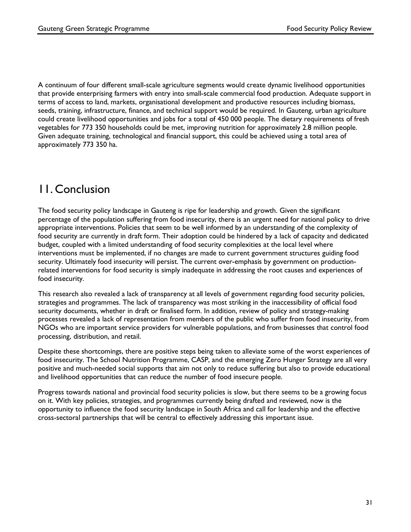A continuum of four different small-scale agriculture segments would create dynamic livelihood opportunities that provide enterprising farmers with entry into small-scale commercial food production. Adequate support in terms of access to land, markets, organisational development and productive resources including biomass, seeds, training, infrastructure, finance, and technical support would be required. In Gauteng, urban agriculture could create livelihood opportunities and jobs for a total of 450 000 people. The dietary requirements of fresh vegetables for 773 350 households could be met, improving nutrition for approximately 2.8 million people. Given adequate training, technological and financial support, this could be achieved using a total area of approximately 773 350 ha.

# 11. Conclusion

The food security policy landscape in Gauteng is ripe for leadership and growth. Given the significant percentage of the population suffering from food insecurity, there is an urgent need for national policy to drive appropriate interventions. Policies that seem to be well informed by an understanding of the complexity of food security are currently in draft form. Their adoption could be hindered by a lack of capacity and dedicated budget, coupled with a limited understanding of food security complexities at the local level where interventions must be implemented, if no changes are made to current government structures guiding food security. Ultimately food insecurity will persist. The current over-emphasis by government on productionrelated interventions for food security is simply inadequate in addressing the root causes and experiences of food insecurity.

This research also revealed a lack of transparency at all levels of government regarding food security policies, strategies and programmes. The lack of transparency was most striking in the inaccessibility of official food security documents, whether in draft or finalised form. In addition, review of policy and strategy-making processes revealed a lack of representation from members of the public who suffer from food insecurity, from NGOs who are important service providers for vulnerable populations, and from businesses that control food processing, distribution, and retail.

Despite these shortcomings, there are positive steps being taken to alleviate some of the worst experiences of food insecurity. The School Nutrition Programme, CASP, and the emerging Zero Hunger Strategy are all very positive and much-needed social supports that aim not only to reduce suffering but also to provide educational and livelihood opportunities that can reduce the number of food insecure people.

Progress towards national and provincial food security policies is slow, but there seems to be a growing focus on it. With key policies, strategies, and programmes currently being drafted and reviewed, now is the opportunity to influence the food security landscape in South Africa and call for leadership and the effective cross-sectoral partnerships that will be central to effectively addressing this important issue.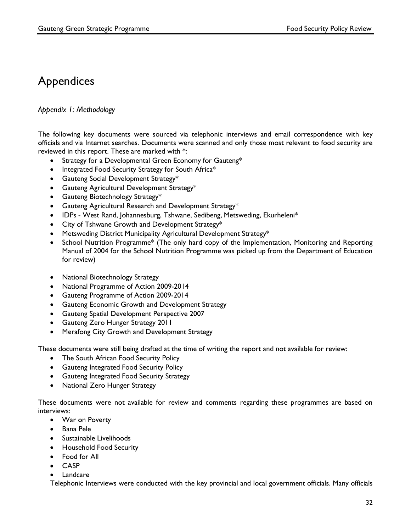# Appendices

### *Appendix 1: Methodology*

The following key documents were sourced via telephonic interviews and email correspondence with key officials and via Internet searches. Documents were scanned and only those most relevant to food security are reviewed in this report. These are marked with \*:

- Strategy for a Developmental Green Economy for Gauteng\*
- Integrated Food Security Strategy for South Africa\*
- Gauteng Social Development Strategy\*
- Gauteng Agricultural Development Strategy\*
- Gauteng Biotechnology Strategy\*
- Gauteng Agricultural Research and Development Strategy\*
- IDPs West Rand, Johannesburg, Tshwane, Sedibeng, Metsweding, Ekurheleni\*
- City of Tshwane Growth and Development Strategy\*
- Metsweding District Municipality Agricultural Development Strategy\*
- School Nutrition Programme\* (The only hard copy of the Implementation, Monitoring and Reporting Manual of 2004 for the School Nutrition Programme was picked up from the Department of Education for review)
- National Biotechnology Strategy
- National Programme of Action 2009-2014
- Gauteng Programme of Action 2009-2014
- Gauteng Economic Growth and Development Strategy
- Gauteng Spatial Development Perspective 2007
- Gauteng Zero Hunger Strategy 2011
- Merafong City Growth and Development Strategy

These documents were still being drafted at the time of writing the report and not available for review:

- The South African Food Security Policy
- Gauteng Integrated Food Security Policy
- Gauteng Integrated Food Security Strategy
- National Zero Hunger Strategy

These documents were not available for review and comments regarding these programmes are based on interviews:

- War on Poverty
- Bana Pele
- Sustainable Livelihoods
- Household Food Security
- Food for All
- CASP
- Landcare

Telephonic Interviews were conducted with the key provincial and local government officials. Many officials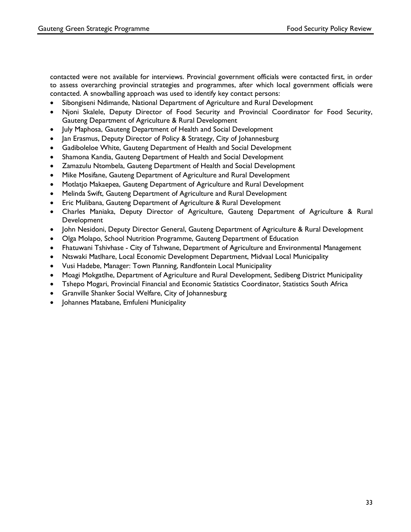contacted were not available for interviews. Provincial government officials were contacted first, in order to assess overarching provincial strategies and programmes, after which local government officials were contacted. A snowballing approach was used to identify key contact persons:

- Sibongiseni Ndimande, National Department of Agriculture and Rural Development
- Njoni Skalele, Deputy Director of Food Security and Provincial Coordinator for Food Security, Gauteng Department of Agriculture & Rural Development
- July Maphosa, Gauteng Department of Health and Social Development
- Jan Erasmus, Deputy Director of Policy & Strategy, City of Johannesburg
- Gadiboleloe White, Gauteng Department of Health and Social Development
- Shamona Kandia, Gauteng Department of Health and Social Development
- Zamazulu Ntombela, Gauteng Department of Health and Social Development
- Mike Mosifane, Gauteng Department of Agriculture and Rural Development
- Motlatjo Makaepea, Gauteng Department of Agriculture and Rural Development
- Melinda Swift, Gauteng Department of Agriculture and Rural Development
- Eric Mulibana, Gauteng Department of Agriculture & Rural Development
- Charles Maniaka, Deputy Director of Agriculture, Gauteng Department of Agriculture & Rural Development
- John Nesidoni, Deputy Director General, Gauteng Department of Agriculture & Rural Development
- Olga Molapo, School Nutrition Programme, Gauteng Department of Education
- Fhatuwani Tshivhase City of Tshwane, Department of Agriculture and Environmental Management
- Ntswaki Matlhare, Local Economic Development Department, Midvaal Local Municipality
- Vusi Hadebe, Manager: Town Planning, Randfontein Local Municipality
- Moagi Mokgatlhe, Department of Agriculture and Rural Development, Sedibeng District Municipality
- Tshepo Mogari, Provincial Financial and Economic Statistics Coordinator, Statistics South Africa
- Granville Shanker Social Welfare, City of Johannesburg
- Johannes Matabane, Emfuleni Municipality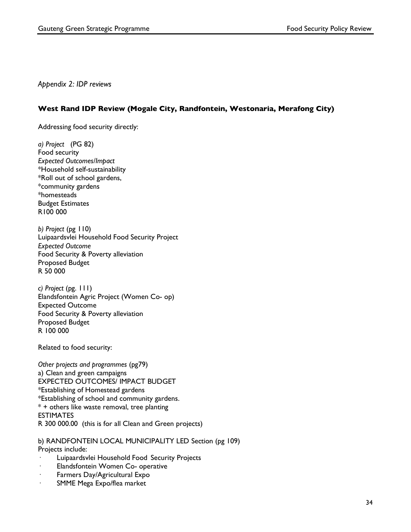*Appendix 2: IDP reviews*

#### **West Rand IDP Review (Mogale City, Randfontein, Westonaria, Merafong City)**

Addressing food security directly:

*a) Project* (PG 82) Food security *Expected Outcomes/Impact* \*Household self-sustainability \*Roll out of school gardens, \*community gardens \*homesteads Budget Estimates R100 000

*b) Project* (pg 110) Luipaardsvlei Household Food Security Project *Expected Outcome* Food Security & Poverty alleviation Proposed Budget R 50 000

*c) Project* (pg. 111) Elandsfontein Agric Project (Women Co- op) Expected Outcome Food Security & Poverty alleviation Proposed Budget R 100 000

Related to food security:

*Other projects and programmes* (pg79) a) Clean and green campaigns EXPECTED OUTCOMES/ IMPACT BUDGET \*Establishing of Homestead gardens \*Establishing of school and community gardens. \* + others like waste removal, tree planting **ESTIMATES** R 300 000.00 (this is for all Clean and Green projects)

b) RANDFONTEIN LOCAL MUNICIPALITY LED Section (pg 109) Projects include:

- Luipaardsvlei Household Food Security Projects
- · Elandsfontein Women Co- operative
- Farmers Day/Agricultural Expo
- SMME Mega Expo/flea market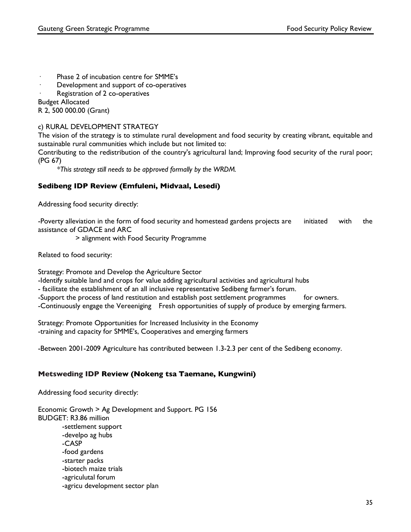- · Phase 2 of incubation centre for SMME's
- Development and support of co-operatives
- Registration of 2 co-operatives

Budget Allocated

R 2, 500 000.00 (Grant)

#### c) RURAL DEVELOPMENT STRATEGY

The vision of the strategy is to stimulate rural development and food security by creating vibrant, equitable and sustainable rural communities which include but not limited to:

Contributing to the redistribution of the country's agricultural land; Improving food security of the rural poor; (PG 67)

*\*This strategy still needs to be approved formally by the WRDM.*

#### **Sedibeng IDP Review (Emfuleni, Midvaal, Lesedi)**

Addressing food security directly:

-Poverty alleviation in the form of food security and homestead gardens projects are initiated with the assistance of GDACE and ARC

> alignment with Food Security Programme

Related to food security:

Strategy: Promote and Develop the Agriculture Sector

-Identify suitable land and crops for value adding agricultural activities and agricultural hubs

- facilitate the establishment of an all inclusive representative Sedibeng farmer's forum.

-Support the process of land restitution and establish post settlement programmes for owners.

-Continuously engage the Vereeniging Fresh opportunities of supply of produce by emerging farmers.

Strategy: Promote Opportunities for Increased Inclusivity in the Economy -training and capacity for SMME's, Cooperatives and emerging farmers

-Between 2001-2009 Agriculture has contributed between 1.3-2.3 per cent of the Sedibeng economy.

### **Metsweding IDP Review (Nokeng tsa Taemane, Kungwini)**

Addressing food security directly:

Economic Growth > Ag Development and Support. PG 156 BUDGET: R3.86 million -settlement support -develpo ag hubs -CASP -food gardens -starter packs -biotech maize trials -agriculutal forum -agricu development sector plan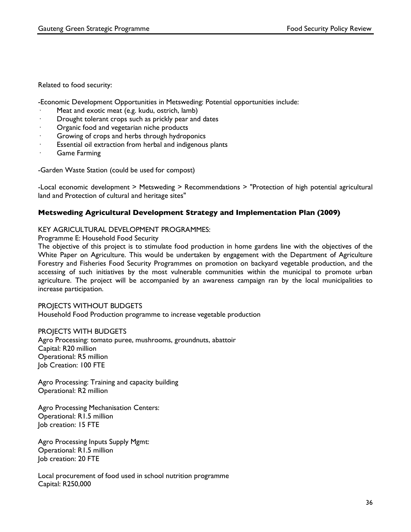Related to food security:

-Economic Development Opportunities in Metsweding: Potential opportunities include:

- Meat and exotic meat (e.g. kudu, ostrich, lamb)
- · Drought tolerant crops such as prickly pear and dates
- Organic food and vegetarian niche products
- Growing of crops and herbs through hydroponics
- Essential oil extraction from herbal and indigenous plants
- Game Farming

-Garden Waste Station (could be used for compost)

-Local economic development > Metsweding > Recommendations > "Protection of high potential agricultural land and Protection of cultural and heritage sites"

#### **Metsweding Agricultural Development Strategy and Implementation Plan (2009)**

#### KEY AGRICULTURAL DEVELOPMENT PROGRAMMES:

Programme E: Household Food Security

The objective of this project is to stimulate food production in home gardens line with the objectives of the White Paper on Agriculture. This would be undertaken by engagement with the Department of Agriculture Forestry and Fisheries Food Security Programmes on promotion on backyard vegetable production, and the accessing of such initiatives by the most vulnerable communities within the municipal to promote urban agriculture. The project will be accompanied by an awareness campaign ran by the local municipalities to increase participation.

#### PROJECTS WITHOUT BUDGETS

Household Food Production programme to increase vegetable production

#### PROJECTS WITH BUDGETS

Agro Processing: tomato puree, mushrooms, groundnuts, abattoir Capital: R20 million Operational: R5 million Job Creation: 100 FTE

Agro Processing: Training and capacity building Operational: R2 million

Agro Processing Mechanisation Centers: Operational: R1.5 million Job creation: 15 FTE

Agro Processing Inputs Supply Mgmt: Operational: R1.5 million Job creation: 20 FTE

Local procurement of food used in school nutrition programme Capital: R250,000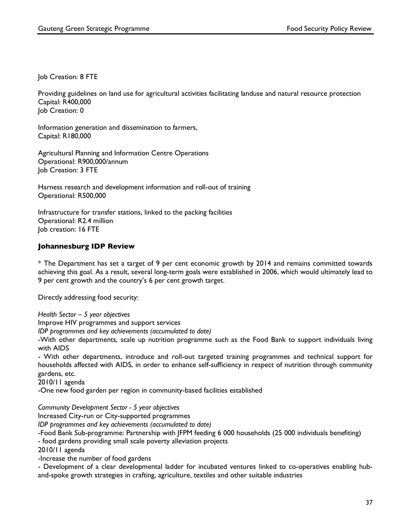Job Creation: 8 FTE

Providing guidelines on land use for agricultural activities facilitating landuse and natural resource protection Capital: R400,000 Job Creation: 0

Information generation and dissemination to farmers, Capital: R180,000

Agricultural Planning and Information Centre Operations Operational: R900,000/annum Job Creation: 3 FTE

Harness research and development information and roll-out of training Operational: R500,000

Infrastructure for transfer stations, linked to the packing facilities Operational: R2.4 million Job creation: 16 FTE

#### **Johannesburg IDP Review**

\* The Department has set a target of 9 per cent economic growth by 2014 and remains committed towards achieving this goal. As a result, several long-term goals were established in 2006, which would ultimately lead to 9 per cent growth and the country's 6 per cent growth target.

Directly addressing food security:

*Health Sector – 5 year objectives*

Improve HIV programmes and support services

*IDP programmes and key achievements (accumulated to date)*

-With other departments, scale up nutrition programme such as the Food Bank to support individuals living with AIDS

- With other departments, introduce and roll-out targeted training programmes and technical support for households affected with AIDS, in order to enhance self-sufficiency in respect of nutrition through community gardens, etc.

2010/11 agenda

-One new food garden per region in community-based facilities established

*Community Development Sector - 5 year objectives*

Increased City-run or City-supported programmes

*IDP programmes and key achievements (accumulated to date)*

-Food Bank Sub-programme: Partnership with JFPM feeding 6 000 households (25 000 individuals benefiting) - food gardens providing small scale poverty alleviation projects

2010/11 agenda

-Increase the number of food gardens

- Development of a clear developmental ladder for incubated ventures linked to co-operatives enabling huband-spoke growth strategies in crafting, agriculture, textiles and other suitable industries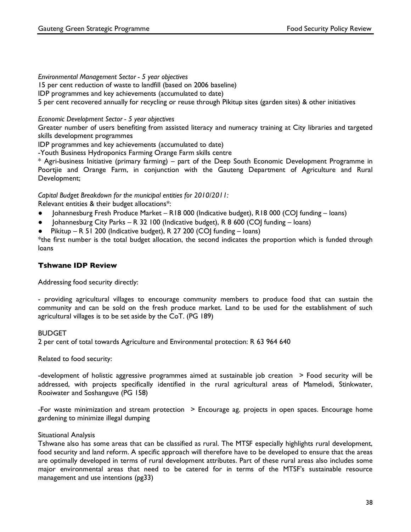#### *Environmental Management Sector - 5 year objectives*

15 per cent reduction of waste to landfill (based on 2006 baseline)

IDP programmes and key achievements (accumulated to date)

5 per cent recovered annually for recycling or reuse through Pikitup sites (garden sites) & other initiatives

#### *Economic Development Sector - 5 year objectives*

Greater number of users benefiting from assisted literacy and numeracy training at City libraries and targeted skills development programmes

IDP programmes and key achievements (accumulated to date)

-Youth Business Hydroponics Farming Orange Farm skills centre

\* Agri-business Initiative (primary farming) – part of the Deep South Economic Development Programme in Poortjie and Orange Farm, in conjunction with the Gauteng Department of Agriculture and Rural Development;

*Capital Budget Breakdown for the municipal entities for 2010/2011:*

Relevant entities & their budget allocations\*:

- Johannesburg Fresh Produce Market R18 000 (Indicative budget), R18 000 (COJ funding loans)
- Johannesburg City Parks R 32 100 (Indicative budget), R 8 600 (COJ funding loans)
- Pikitup R 51 200 (Indicative budget), R 27 200 (COJ funding loans)

\*the first number is the total budget allocation, the second indicates the proportion which is funded through loans

#### **Tshwane IDP Review**

Addressing food security directly:

- providing agricultural villages to encourage community members to produce food that can sustain the community and can be sold on the fresh produce market. Land to be used for the establishment of such agricultural villages is to be set aside by the CoT. (PG 189)

#### BUDGET

2 per cent of total towards Agriculture and Environmental protection: R 63 964 640

Related to food security:

-development of holistic aggressive programmes aimed at sustainable job creation > Food security will be addressed, with projects specifically identified in the rural agricultural areas of Mamelodi, Stinkwater, Rooiwater and Soshanguve (PG 158)

-For waste minimization and stream protection > Encourage ag. projects in open spaces. Encourage home gardening to minimize illegal dumping

#### Situational Analysis

Tshwane also has some areas that can be classified as rural. The MTSF especially highlights rural development, food security and land reform. A specific approach will therefore have to be developed to ensure that the areas are optimally developed in terms of rural development attributes. Part of these rural areas also includes some major environmental areas that need to be catered for in terms of the MTSF's sustainable resource management and use intentions (pg33)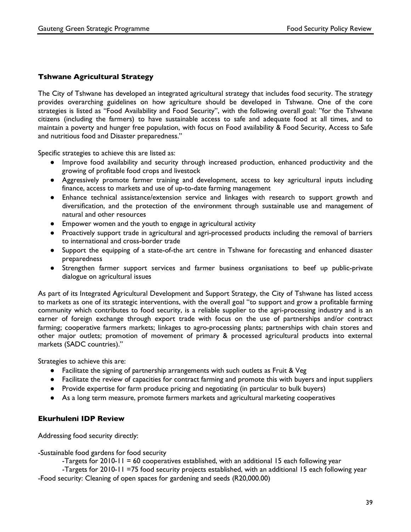#### **Tshwane Agricultural Strategy**

The City of Tshwane has developed an integrated agricultural strategy that includes food security. The strategy provides overarching guidelines on how agriculture should be developed in Tshwane. One of the core strategies is listed as "Food Availability and Food Security", with the following overall goal: "for the Tshwane citizens (including the farmers) to have sustainable access to safe and adequate food at all times, and to maintain a poverty and hunger free population, with focus on Food availability & Food Security, Access to Safe and nutritious food and Disaster preparedness."

Specific strategies to achieve this are listed as:

- Improve food availability and security through increased production, enhanced productivity and the growing of profitable food crops and livestock
- Aggressively promote farmer training and development, access to key agricultural inputs including finance, access to markets and use of up-to-date farming management
- Enhance technical assistance/extension service and linkages with research to support growth and diversification, and the protection of the environment through sustainable use and management of natural and other resources
- Empower women and the youth to engage in agricultural activity
- Proactively support trade in agricultural and agri-processed products including the removal of barriers to international and cross-border trade
- Support the equipping of a state-of-the art centre in Tshwane for forecasting and enhanced disaster preparedness
- Strengthen farmer support services and farmer business organisations to beef up public-private dialogue on agricultural issues

As part of its Integrated Agricultural Development and Support Strategy, the City of Tshwane has listed access to markets as one of its strategic interventions, with the overall goal "to support and grow a profitable farming community which contributes to food security, is a reliable supplier to the agri-processing industry and is an earner of foreign exchange through export trade with focus on the use of partnerships and/or contract farming; cooperative farmers markets; linkages to agro-processing plants; partnerships with chain stores and other major outlets; promotion of movement of primary & processed agricultural products into external markets (SADC countries)."

Strategies to achieve this are:

- Facilitate the signing of partnership arrangements with such outlets as Fruit & Veg
- Facilitate the review of capacities for contract farming and promote this with buyers and input suppliers
- Provide expertise for farm produce pricing and negotiating (in particular to bulk buyers)
- As a long term measure, promote farmers markets and agricultural marketing cooperatives

#### **Ekurhuleni IDP Review**

Addressing food security directly:

-Sustainable food gardens for food security

-Targets for 2010-11 = 60 cooperatives established, with an additional 15 each following year

-Targets for 2010-11 =75 food security projects established, with an additional 15 each following year -Food security: Cleaning of open spaces for gardening and seeds (R20,000.00)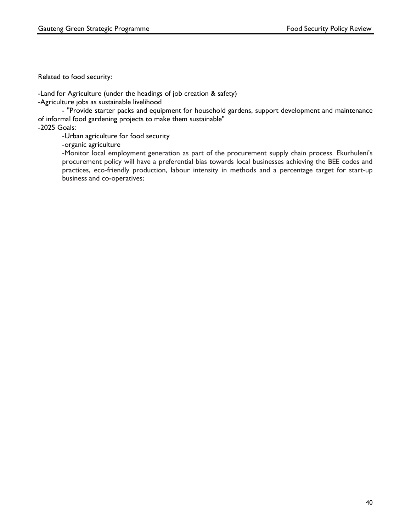Related to food security:

-Land for Agriculture (under the headings of job creation & safety)

-Agriculture jobs as sustainable livelihood

- "Provide starter packs and equipment for household gardens, support development and maintenance of informal food gardening projects to make them sustainable"

-2025 Goals:

-Urban agriculture for food security

-organic agriculture

-Monitor local employment generation as part of the procurement supply chain process. Ekurhuleni's procurement policy will have a preferential bias towards local businesses achieving the BEE codes and practices, eco-friendly production, labour intensity in methods and a percentage target for start-up business and co-operatives;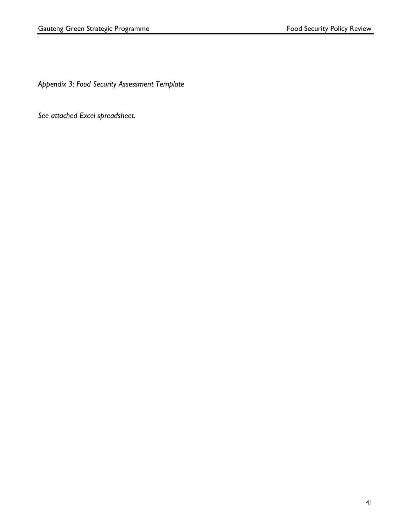*Appendix 3: Food Security Assessment Template*

*See attached Excel spreadsheet.*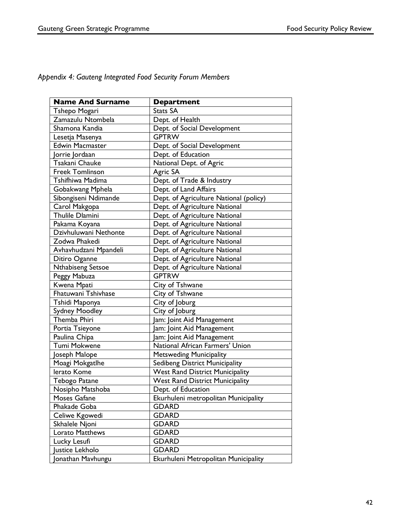*Appendix 4: Gauteng Integrated Food Security Forum Members*

| <b>Name And Surname</b> | <b>Department</b>                      |
|-------------------------|----------------------------------------|
| Tshepo Mogari           | <b>Stats SA</b>                        |
| Zamazulu Ntombela       | Dept. of Health                        |
| Shamona Kandia          | Dept. of Social Development            |
| Lesetja Masenya         | <b>GPTRW</b>                           |
| <b>Edwin Macmaster</b>  | Dept. of Social Development            |
| Jorrie Jordaan          | Dept. of Education                     |
| Tsakani Chauke          | National Dept. of Agric                |
| Freek Tomlinson         | Agric SA                               |
| Tshifhiwa Madima        | Dept. of Trade & Industry              |
| Gobakwang Mphela        | Dept. of Land Affairs                  |
| Sibongiseni Ndimande    | Dept. of Agriculture National (policy) |
| Carol Makgopa           | Dept. of Agriculture National          |
| <b>Thulile Dlamini</b>  | Dept. of Agriculture National          |
| Pakama Koyana           | Dept. of Agriculture National          |
| Dzivhuluwani Nethonte   | Dept. of Agriculture National          |
| Zodwa Phakedi           | Dept. of Agriculture National          |
| Avhavhudzani Mpandeli   | Dept. of Agriculture National          |
| Ditiro Oganne           | Dept. of Agriculture National          |
| Nthabiseng Setsoe       | Dept. of Agriculture National          |
| Peggy Mabuza            | <b>GPTRW</b>                           |
| Kwena Mpati             | City of Tshwane                        |
| Fhatuwani Tshivhase     | City of Tshwane                        |
| Tshidi Maponya          | City of Joburg                         |
| <b>Sydney Moodley</b>   | City of Joburg                         |
| Themba Phiri            | am: Joint Aid Management               |
| Portia Tsieyone         | am: Joint Aid Management               |
| Paulina Chipa           | am: Joint Aid Management               |
| Tumi Mokwene            | National African Farmers' Union        |
| Joseph Malope           | <b>Metsweding Municipality</b>         |
| Moagi Mokgatlhe         | Sedibeng District Municipality         |
| lerato Kome             | <b>West Rand District Municipality</b> |
| Tebogo Patane           | <b>West Rand District Municipality</b> |
| Nosipho Matshoba        | Dept. of Education                     |
| Moses Gafane            | Ekurhuleni metropolitan Municipality   |
| Phakade Goba            | <b>GDARD</b>                           |
| Celiwe Kgowedi          | <b>GDARD</b>                           |
| Skhalele Njoni          | <b>GDARD</b>                           |
| Lorato Matthews         | <b>GDARD</b>                           |
| Lucky Lesufi            | <b>GDARD</b>                           |
| Justice Lekholo         | <b>GDARD</b>                           |
| Jonathan Mavhungu       | Ekurhuleni Metropolitan Municipality   |